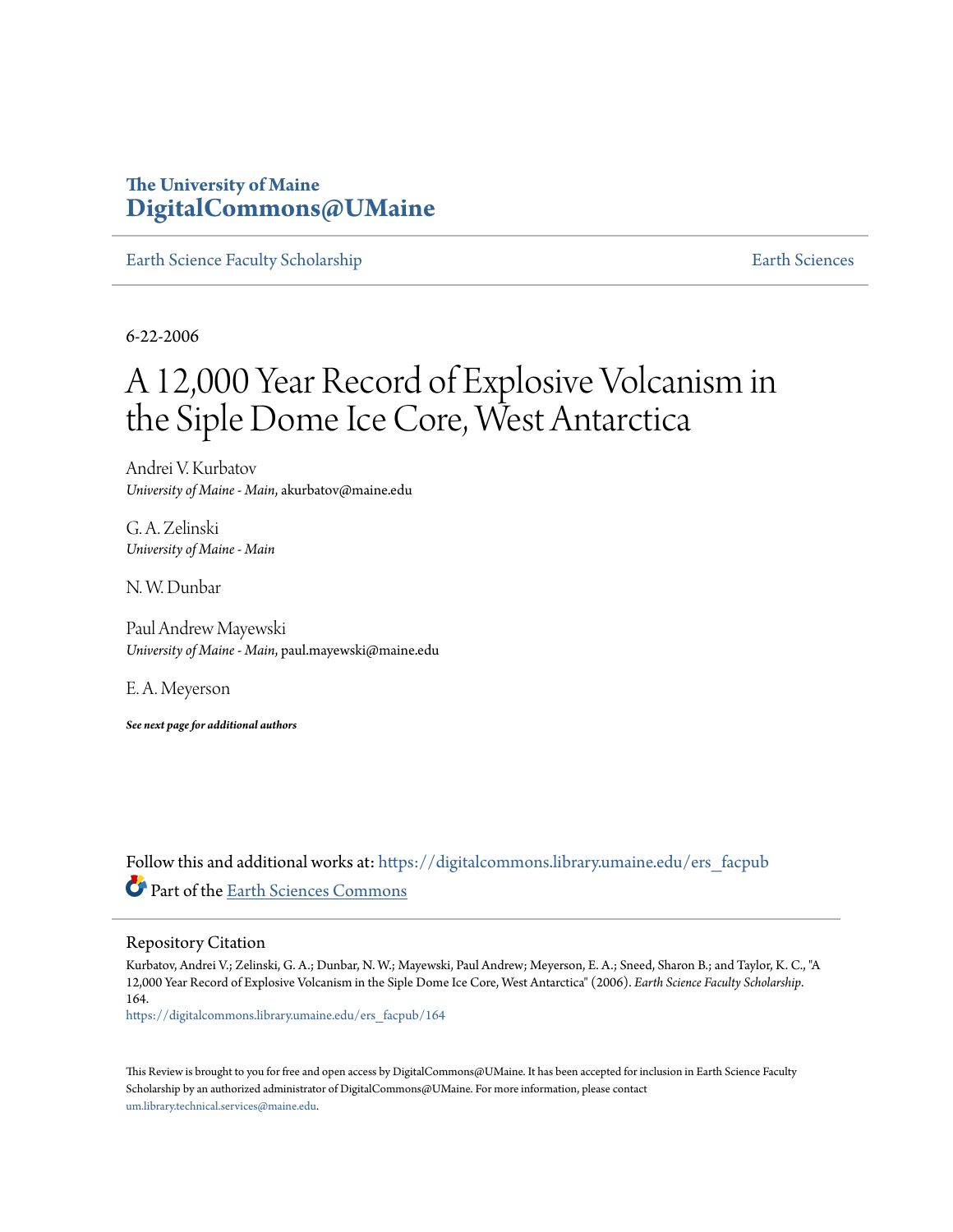# **The University of Maine [DigitalCommons@UMaine](https://digitalcommons.library.umaine.edu?utm_source=digitalcommons.library.umaine.edu%2Fers_facpub%2F164&utm_medium=PDF&utm_campaign=PDFCoverPages)**

[Earth Science Faculty Scholarship](https://digitalcommons.library.umaine.edu/ers_facpub?utm_source=digitalcommons.library.umaine.edu%2Fers_facpub%2F164&utm_medium=PDF&utm_campaign=PDFCoverPages) **[Earth Sciences](https://digitalcommons.library.umaine.edu/ers?utm_source=digitalcommons.library.umaine.edu%2Fers_facpub%2F164&utm_medium=PDF&utm_campaign=PDFCoverPages)** 

6-22-2006

# A 12,000 Year Record of Explosive Volcanism in the Siple Dome Ice Core, West Antarctica

Andrei V. Kurbatov *University of Maine - Main*, akurbatov@maine.edu

G. A. Zelinski *University of Maine - Main*

N. W. Dunbar

Paul Andrew Mayewski *University of Maine - Main*, paul.mayewski@maine.edu

E. A. Meyerson

*See next page for additional authors*

Follow this and additional works at: [https://digitalcommons.library.umaine.edu/ers\\_facpub](https://digitalcommons.library.umaine.edu/ers_facpub?utm_source=digitalcommons.library.umaine.edu%2Fers_facpub%2F164&utm_medium=PDF&utm_campaign=PDFCoverPages) Part of the [Earth Sciences Commons](http://network.bepress.com/hgg/discipline/153?utm_source=digitalcommons.library.umaine.edu%2Fers_facpub%2F164&utm_medium=PDF&utm_campaign=PDFCoverPages)

#### Repository Citation

Kurbatov, Andrei V.; Zelinski, G. A.; Dunbar, N. W.; Mayewski, Paul Andrew; Meyerson, E. A.; Sneed, Sharon B.; and Taylor, K. C., "A 12,000 Year Record of Explosive Volcanism in the Siple Dome Ice Core, West Antarctica" (2006). *Earth Science Faculty Scholarship*. 164.

[https://digitalcommons.library.umaine.edu/ers\\_facpub/164](https://digitalcommons.library.umaine.edu/ers_facpub/164?utm_source=digitalcommons.library.umaine.edu%2Fers_facpub%2F164&utm_medium=PDF&utm_campaign=PDFCoverPages)

This Review is brought to you for free and open access by DigitalCommons@UMaine. It has been accepted for inclusion in Earth Science Faculty Scholarship by an authorized administrator of DigitalCommons@UMaine. For more information, please contact [um.library.technical.services@maine.edu](mailto:um.library.technical.services@maine.edu).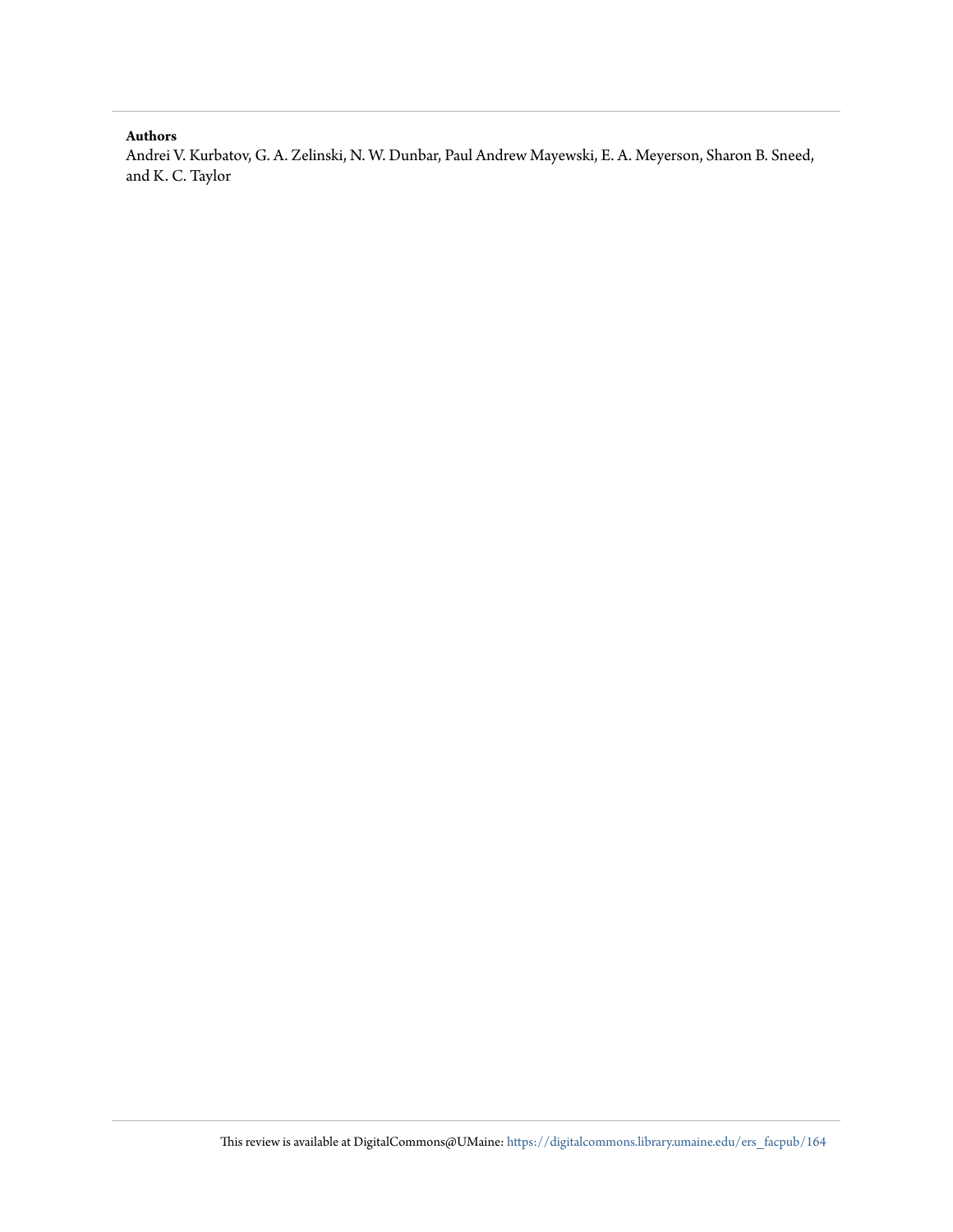## **Authors**

Andrei V. Kurbatov, G. A. Zelinski, N. W. Dunbar, Paul Andrew Mayewski, E. A. Meyerson, Sharon B. Sneed, and K. C. Taylor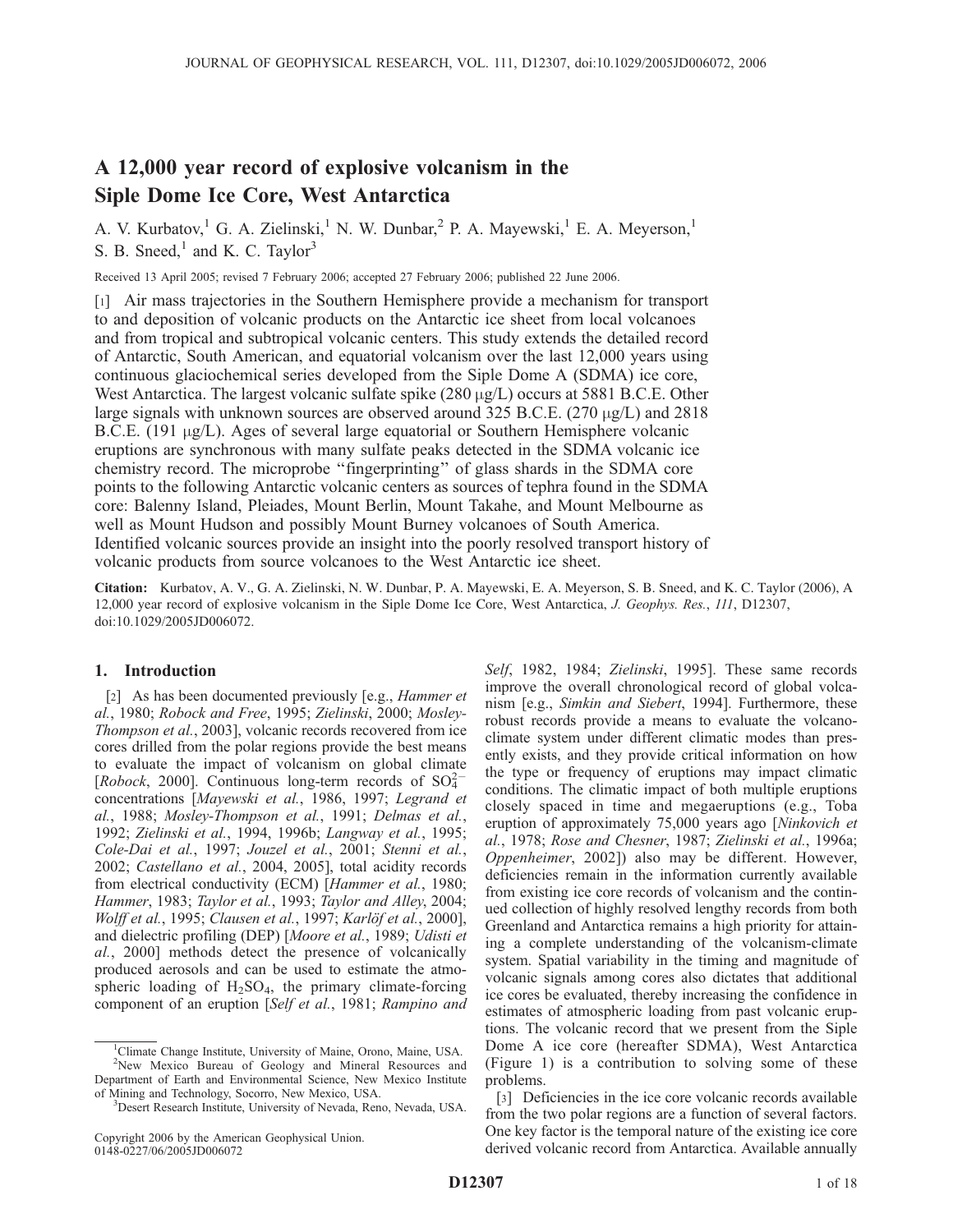# A 12,000 year record of explosive volcanism in the Siple Dome Ice Core, West Antarctica

A. V. Kurbatov,<sup>1</sup> G. A. Zielinski,<sup>1</sup> N. W. Dunbar,<sup>2</sup> P. A. Mayewski,<sup>1</sup> E. A. Meyerson,<sup>1</sup> S. B. Sneed, $<sup>1</sup>$  and K. C. Taylor<sup>3</sup></sup>

Received 13 April 2005; revised 7 February 2006; accepted 27 February 2006; published 22 June 2006.

[1] Air mass trajectories in the Southern Hemisphere provide a mechanism for transport to and deposition of volcanic products on the Antarctic ice sheet from local volcanoes and from tropical and subtropical volcanic centers. This study extends the detailed record of Antarctic, South American, and equatorial volcanism over the last 12,000 years using continuous glaciochemical series developed from the Siple Dome A (SDMA) ice core, West Antarctica. The largest volcanic sulfate spike  $(280 \mu g/L)$  occurs at 5881 B.C.E. Other large signals with unknown sources are observed around 325 B.C.E. (270  $\mu$ g/L) and 2818 B.C.E. (191  $\mu$ g/L). Ages of several large equatorial or Southern Hemisphere volcanic eruptions are synchronous with many sulfate peaks detected in the SDMA volcanic ice chemistry record. The microprobe ''fingerprinting'' of glass shards in the SDMA core points to the following Antarctic volcanic centers as sources of tephra found in the SDMA core: Balenny Island, Pleiades, Mount Berlin, Mount Takahe, and Mount Melbourne as well as Mount Hudson and possibly Mount Burney volcanoes of South America. Identified volcanic sources provide an insight into the poorly resolved transport history of volcanic products from source volcanoes to the West Antarctic ice sheet.

Citation: Kurbatov, A. V., G. A. Zielinski, N. W. Dunbar, P. A. Mayewski, E. A. Meyerson, S. B. Sneed, and K. C. Taylor (2006), A 12,000 year record of explosive volcanism in the Siple Dome Ice Core, West Antarctica, J. Geophys. Res., 111, D12307, doi:10.1029/2005JD006072.

### 1. Introduction

[2] As has been documented previously [e.g., Hammer et al., 1980; Robock and Free, 1995; Zielinski, 2000; Mosley-Thompson et al., 2003], volcanic records recovered from ice cores drilled from the polar regions provide the best means to evaluate the impact of volcanism on global climate [Robock, 2000]. Continuous long-term records of  $SO_4^{2-}$ concentrations [Mayewski et al., 1986, 1997; Legrand et al., 1988; Mosley-Thompson et al., 1991; Delmas et al., 1992; Zielinski et al., 1994, 1996b; Langway et al., 1995; Cole-Dai et al., 1997; Jouzel et al., 2001; Stenni et al., 2002; Castellano et al., 2004, 2005], total acidity records from electrical conductivity (ECM) [Hammer et al., 1980; Hammer, 1983; Taylor et al., 1993; Taylor and Alley, 2004; Wolff et al., 1995; Clausen et al., 1997; Karlöf et al., 2000], and dielectric profiling (DEP) [Moore et al., 1989; Udisti et al., 2000] methods detect the presence of volcanically produced aerosols and can be used to estimate the atmospheric loading of  $H_2SO_4$ , the primary climate-forcing component of an eruption [Self et al., 1981; Rampino and

Self, 1982, 1984; Zielinski, 1995]. These same records improve the overall chronological record of global volcanism [e.g., Simkin and Siebert, 1994]. Furthermore, these robust records provide a means to evaluate the volcanoclimate system under different climatic modes than presently exists, and they provide critical information on how the type or frequency of eruptions may impact climatic conditions. The climatic impact of both multiple eruptions closely spaced in time and megaeruptions (e.g., Toba eruption of approximately 75,000 years ago [Ninkovich et al., 1978; Rose and Chesner, 1987; Zielinski et al., 1996a; Oppenheimer, 2002]) also may be different. However, deficiencies remain in the information currently available from existing ice core records of volcanism and the continued collection of highly resolved lengthy records from both Greenland and Antarctica remains a high priority for attaining a complete understanding of the volcanism-climate system. Spatial variability in the timing and magnitude of volcanic signals among cores also dictates that additional ice cores be evaluated, thereby increasing the confidence in estimates of atmospheric loading from past volcanic eruptions. The volcanic record that we present from the Siple Dome A ice core (hereafter SDMA), West Antarctica (Figure 1) is a contribution to solving some of these problems.

[3] Deficiencies in the ice core volcanic records available from the two polar regions are a function of several factors. One key factor is the temporal nature of the existing ice core derived volcanic record from Antarctica. Available annually

<sup>&</sup>lt;sup>1</sup>Climate Change Institute, University of Maine, Orono, Maine, USA. <sup>2</sup>New Mexico Bureau of Geology and Mineral Resources and Department of Earth and Environmental Science, New Mexico Institute of Mining and Technology, Socorro, New Mexico, USA. <sup>3</sup>

<sup>&</sup>lt;sup>3</sup>Desert Research Institute, University of Nevada, Reno, Nevada, USA.

Copyright 2006 by the American Geophysical Union. 0148-0227/06/2005JD006072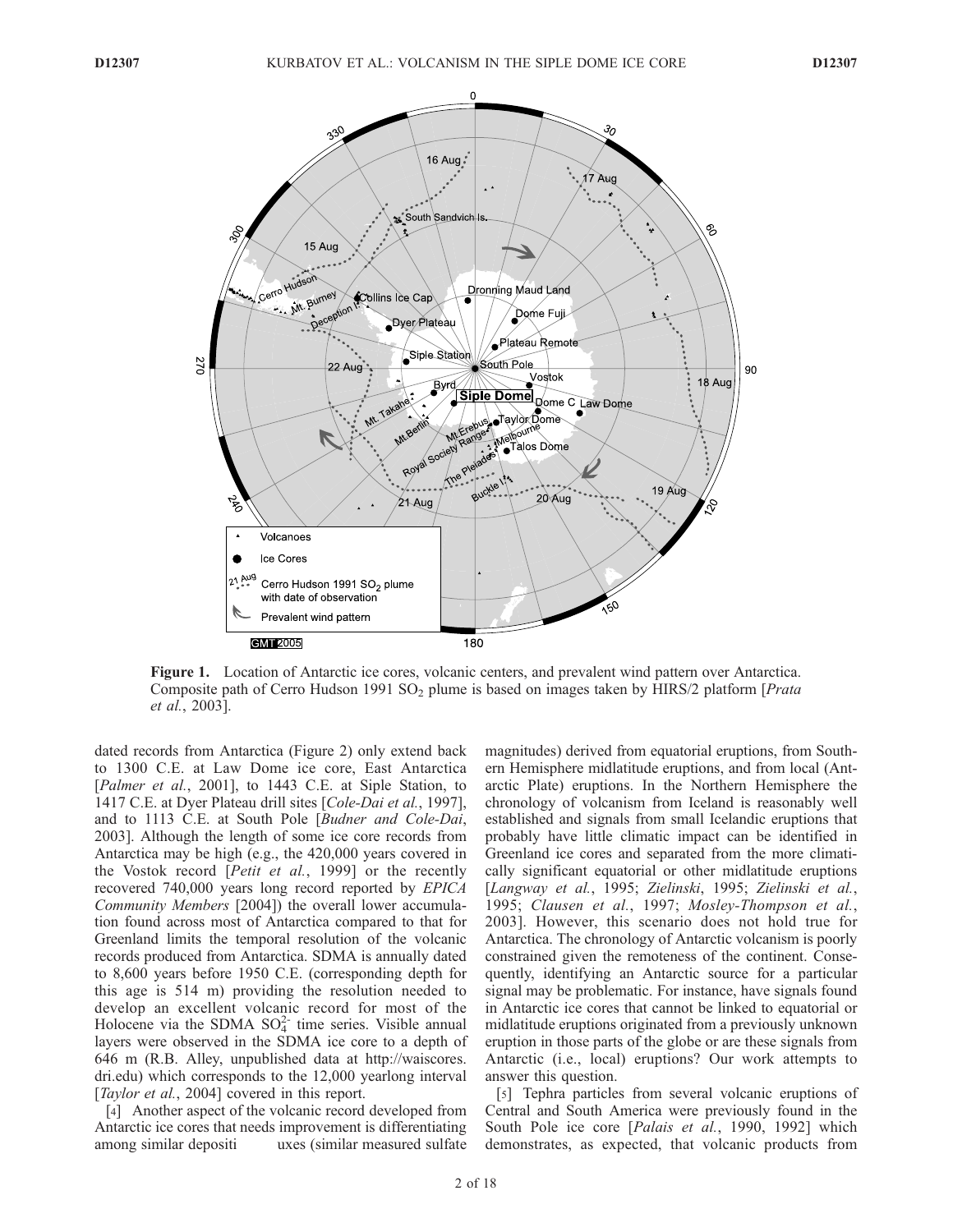

Figure 1. Location of Antarctic ice cores, volcanic centers, and prevalent wind pattern over Antarctica. Composite path of Cerro Hudson 1991 SO<sub>2</sub> plume is based on images taken by HIRS/2 platform [*Prata*] et al., 2003].

dated records from Antarctica (Figure 2) only extend back to 1300 C.E. at Law Dome ice core, East Antarctica [Palmer et al., 2001], to 1443 C.E. at Siple Station, to 1417 C.E. at Dyer Plateau drill sites [Cole-Dai et al., 1997], and to 1113 C.E. at South Pole [Budner and Cole-Dai, 2003]. Although the length of some ice core records from Antarctica may be high (e.g., the 420,000 years covered in the Vostok record [*Petit et al.*, 1999] or the recently recovered 740,000 years long record reported by EPICA Community Members [2004]) the overall lower accumulation found across most of Antarctica compared to that for Greenland limits the temporal resolution of the volcanic records produced from Antarctica. SDMA is annually dated to 8,600 years before 1950 C.E. (corresponding depth for this age is 514 m) providing the resolution needed to develop an excellent volcanic record for most of the Holocene via the SDMA  $SO_4^{2-}$  time series. Visible annual layers were observed in the SDMA ice core to a depth of 646 m (R.B. Alley, unpublished data at http://waiscores. dri.edu) which corresponds to the 12,000 yearlong interval [Taylor et al., 2004] covered in this report.

[4] Another aspect of the volcanic record developed from Antarctic ice cores that needs improvement is differentiating among similar depositi uxes (similar measured sulfate magnitudes) derived from equatorial eruptions, from Southern Hemisphere midlatitude eruptions, and from local (Antarctic Plate) eruptions. In the Northern Hemisphere the chronology of volcanism from Iceland is reasonably well established and signals from small Icelandic eruptions that probably have little climatic impact can be identified in Greenland ice cores and separated from the more climatically significant equatorial or other midlatitude eruptions [Langway et al., 1995; Zielinski, 1995; Zielinski et al., 1995; Clausen et al., 1997; Mosley-Thompson et al., 2003]. However, this scenario does not hold true for Antarctica. The chronology of Antarctic volcanism is poorly constrained given the remoteness of the continent. Consequently, identifying an Antarctic source for a particular signal may be problematic. For instance, have signals found in Antarctic ice cores that cannot be linked to equatorial or midlatitude eruptions originated from a previously unknown eruption in those parts of the globe or are these signals from Antarctic (i.e., local) eruptions? Our work attempts to answer this question.

[5] Tephra particles from several volcanic eruptions of Central and South America were previously found in the South Pole ice core [Palais et al., 1990, 1992] which demonstrates, as expected, that volcanic products from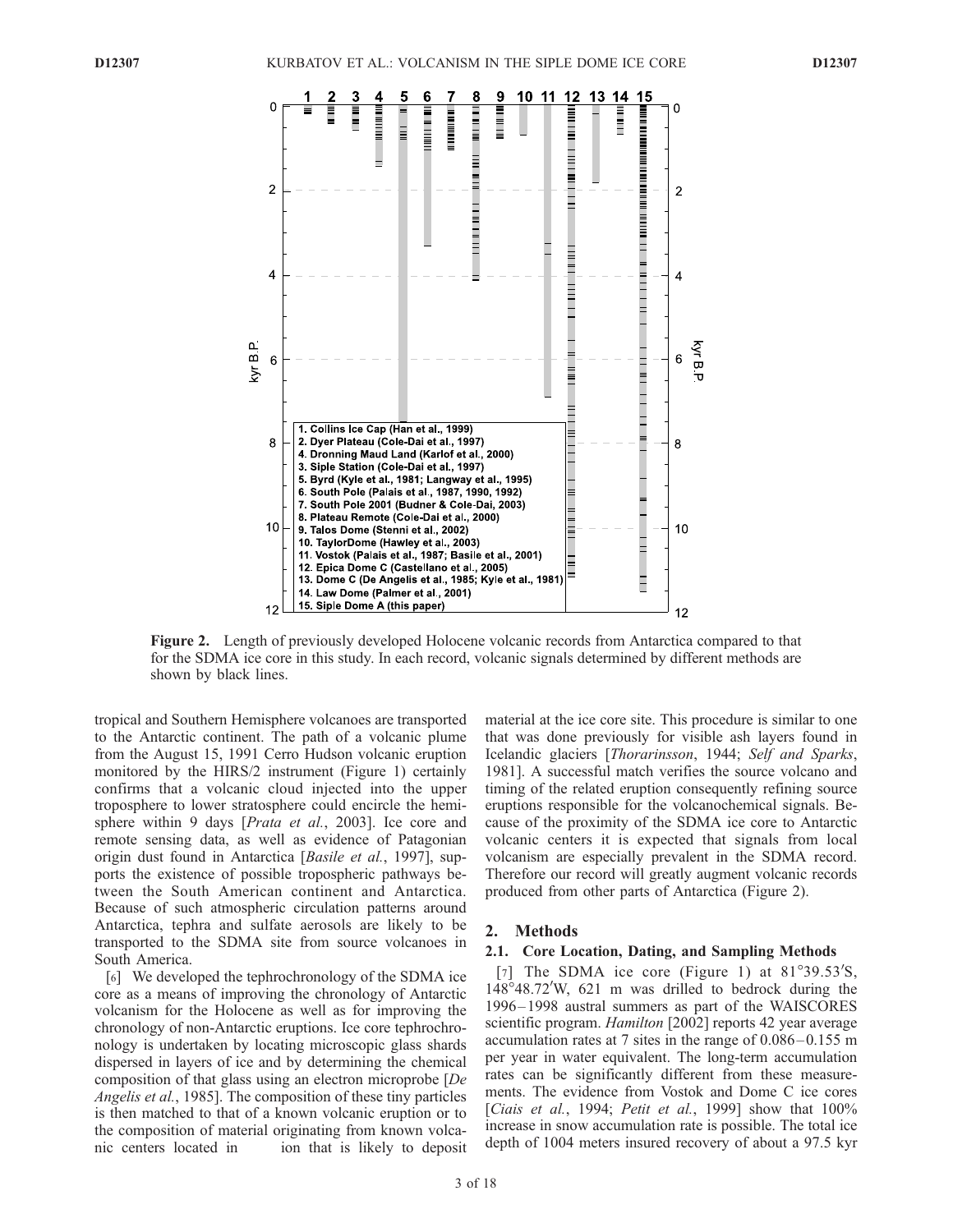

Figure 2. Length of previously developed Holocene volcanic records from Antarctica compared to that for the SDMA ice core in this study. In each record, volcanic signals determined by different methods are shown by black lines.

tropical and Southern Hemisphere volcanoes are transported to the Antarctic continent. The path of a volcanic plume from the August 15, 1991 Cerro Hudson volcanic eruption monitored by the HIRS/2 instrument (Figure 1) certainly confirms that a volcanic cloud injected into the upper troposphere to lower stratosphere could encircle the hemisphere within 9 days [*Prata et al.*, 2003]. Ice core and remote sensing data, as well as evidence of Patagonian origin dust found in Antarctica [Basile et al., 1997], supports the existence of possible tropospheric pathways between the South American continent and Antarctica. Because of such atmospheric circulation patterns around Antarctica, tephra and sulfate aerosols are likely to be transported to the SDMA site from source volcanoes in South America.

[6] We developed the tephrochronology of the SDMA ice core as a means of improving the chronology of Antarctic volcanism for the Holocene as well as for improving the chronology of non-Antarctic eruptions. Ice core tephrochronology is undertaken by locating microscopic glass shards dispersed in layers of ice and by determining the chemical composition of that glass using an electron microprobe [De Angelis et al., 1985]. The composition of these tiny particles is then matched to that of a known volcanic eruption or to the composition of material originating from known volcanic centers located in ion that is likely to deposit

material at the ice core site. This procedure is similar to one that was done previously for visible ash layers found in Icelandic glaciers [Thorarinsson, 1944; Self and Sparks, 1981]. A successful match verifies the source volcano and timing of the related eruption consequently refining source eruptions responsible for the volcanochemical signals. Because of the proximity of the SDMA ice core to Antarctic volcanic centers it is expected that signals from local volcanism are especially prevalent in the SDMA record. Therefore our record will greatly augment volcanic records produced from other parts of Antarctica (Figure 2).

#### 2. Methods

#### 2.1. Core Location, Dating, and Sampling Methods

[7] The SDMA ice core (Figure 1) at  $81^{\circ}39.53'S$ , 148°48.72'W, 621 m was drilled to bedrock during the 1996– 1998 austral summers as part of the WAISCORES scientific program. *Hamilton* [2002] reports 42 year average accumulation rates at 7 sites in the range of  $0.086 - 0.155$  m per year in water equivalent. The long-term accumulation rates can be significantly different from these measurements. The evidence from Vostok and Dome C ice cores [Ciais et al., 1994; Petit et al., 1999] show that 100% increase in snow accumulation rate is possible. The total ice depth of 1004 meters insured recovery of about a 97.5 kyr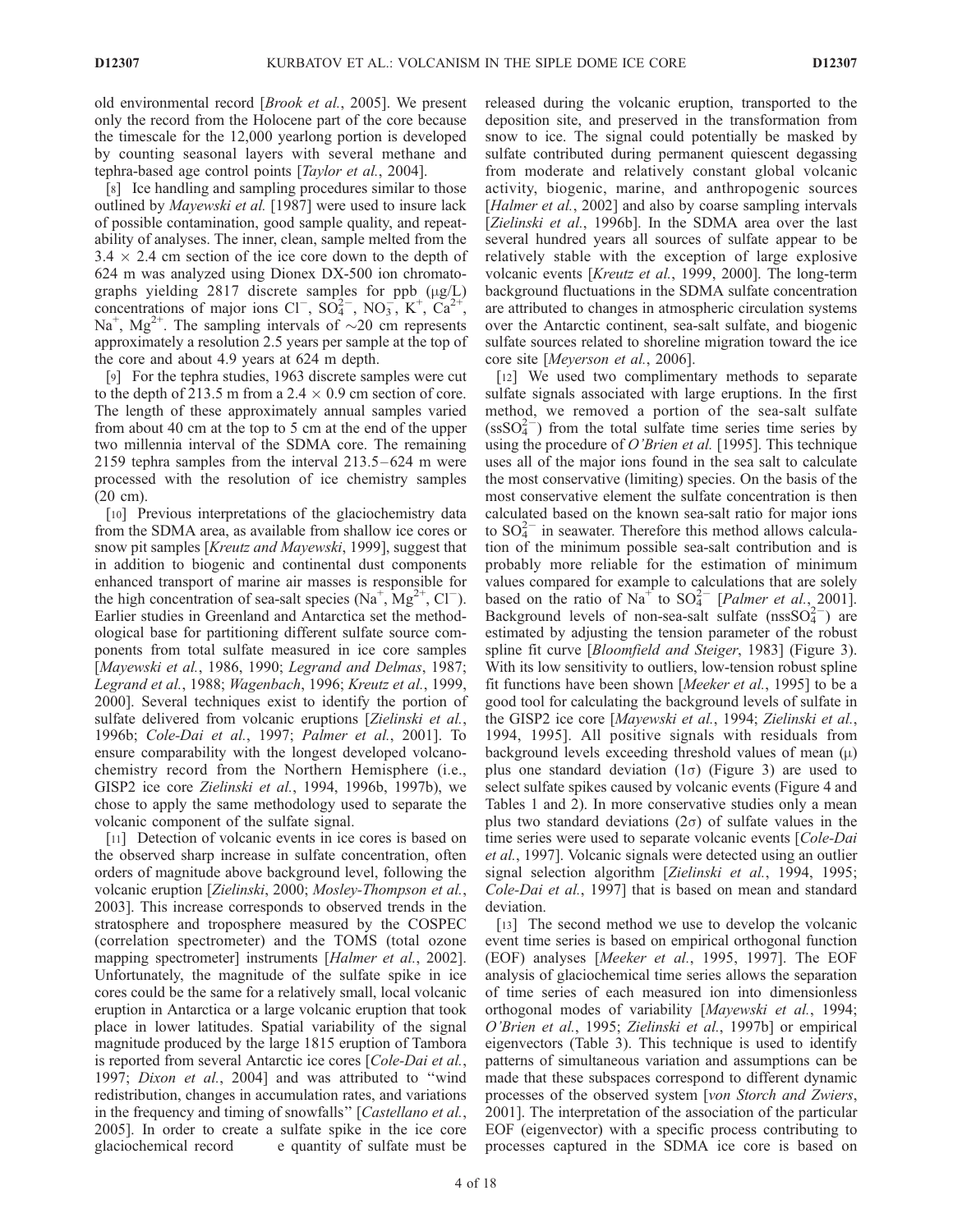old environmental record [Brook et al., 2005]. We present only the record from the Holocene part of the core because the timescale for the 12,000 yearlong portion is developed by counting seasonal layers with several methane and tephra-based age control points [Taylor et al., 2004].

[8] Ice handling and sampling procedures similar to those outlined by Mayewski et al. [1987] were used to insure lack of possible contamination, good sample quality, and repeatability of analyses. The inner, clean, sample melted from the  $3.4 \times 2.4$  cm section of the ice core down to the depth of 624 m was analyzed using Dionex DX-500 ion chromatographs yielding 2817 discrete samples for ppb  $(\mu g/L)$ concentrations of major ions Cl<sup>-</sup>,  $SO_4^{2-}$ ,  $NO_3^-$ ,  $K^+$ ,  $Ca^{2+}$ , Na<sup>+</sup>, Mg<sup>2+</sup>. The sampling intervals of  $\sim$ 20 cm represents approximately a resolution 2.5 years per sample at the top of the core and about 4.9 years at 624 m depth.

[9] For the tephra studies, 1963 discrete samples were cut to the depth of 213.5 m from a 2.4  $\times$  0.9 cm section of core. The length of these approximately annual samples varied from about 40 cm at the top to 5 cm at the end of the upper two millennia interval of the SDMA core. The remaining 2159 tephra samples from the interval 213.5 – 624 m were processed with the resolution of ice chemistry samples (20 cm).

[10] Previous interpretations of the glaciochemistry data from the SDMA area, as available from shallow ice cores or snow pit samples [Kreutz and Mayewski, 1999], suggest that in addition to biogenic and continental dust components enhanced transport of marine air masses is responsible for the high concentration of sea-salt species  $(Na^+, Mg^{2+}, Cl^-)$ . Earlier studies in Greenland and Antarctica set the methodological base for partitioning different sulfate source components from total sulfate measured in ice core samples [Mayewski et al., 1986, 1990; Legrand and Delmas, 1987; Legrand et al., 1988; Wagenbach, 1996; Kreutz et al., 1999, 2000]. Several techniques exist to identify the portion of sulfate delivered from volcanic eruptions [Zielinski et al., 1996b; Cole-Dai et al., 1997; Palmer et al., 2001]. To ensure comparability with the longest developed volcanochemistry record from the Northern Hemisphere (i.e., GISP2 ice core Zielinski et al., 1994, 1996b, 1997b), we chose to apply the same methodology used to separate the volcanic component of the sulfate signal.

[11] Detection of volcanic events in ice cores is based on the observed sharp increase in sulfate concentration, often orders of magnitude above background level, following the volcanic eruption [Zielinski, 2000; Mosley-Thompson et al., 2003]. This increase corresponds to observed trends in the stratosphere and troposphere measured by the COSPEC (correlation spectrometer) and the TOMS (total ozone mapping spectrometer] instruments [Halmer et al., 2002]. Unfortunately, the magnitude of the sulfate spike in ice cores could be the same for a relatively small, local volcanic eruption in Antarctica or a large volcanic eruption that took place in lower latitudes. Spatial variability of the signal magnitude produced by the large 1815 eruption of Tambora is reported from several Antarctic ice cores [Cole-Dai et al., 1997; Dixon et al., 2004] and was attributed to "wind redistribution, changes in accumulation rates, and variations in the frequency and timing of snowfalls'' [Castellano et al., 2005]. In order to create a sulfate spike in the ice core glaciochemical record e quantity of sulfate must be

released during the volcanic eruption, transported to the deposition site, and preserved in the transformation from snow to ice. The signal could potentially be masked by sulfate contributed during permanent quiescent degassing from moderate and relatively constant global volcanic activity, biogenic, marine, and anthropogenic sources [Halmer et al., 2002] and also by coarse sampling intervals [Zielinski et al., 1996b]. In the SDMA area over the last several hundred years all sources of sulfate appear to be relatively stable with the exception of large explosive volcanic events [Kreutz et al., 1999, 2000]. The long-term background fluctuations in the SDMA sulfate concentration are attributed to changes in atmospheric circulation systems over the Antarctic continent, sea-salt sulfate, and biogenic sulfate sources related to shoreline migration toward the ice core site [Meyerson et al., 2006].

[12] We used two complimentary methods to separate sulfate signals associated with large eruptions. In the first method, we removed a portion of the sea-salt sulfate  $(s s   
  $\frac{1}{2}$  from the total sulfate time series time series by$ using the procedure of *O'Brien et al.* [1995]. This technique uses all of the major ions found in the sea salt to calculate the most conservative (limiting) species. On the basis of the most conservative element the sulfate concentration is then calculated based on the known sea-salt ratio for major ions to  $SO_4^{2-}$  in seawater. Therefore this method allows calculation of the minimum possible sea-salt contribution and is probably more reliable for the estimation of minimum values compared for example to calculations that are solely based on the ratio of Na<sup>+</sup> to SO<sub>4</sub><sup>2</sup> [*Palmer et al.*, 2001]. Background levels of non-sea-salt sulfate  $(nssSO<sub>4</sub><sup>2</sup>)$  are estimated by adjusting the tension parameter of the robust spline fit curve [*Bloomfield and Steiger*, 1983] (Figure 3). With its low sensitivity to outliers, low-tension robust spline fit functions have been shown [Meeker et al., 1995] to be a good tool for calculating the background levels of sulfate in the GISP2 ice core [Mayewski et al., 1994; Zielinski et al., 1994, 1995]. All positive signals with residuals from background levels exceeding threshold values of mean  $(\mu)$ plus one standard deviation  $(1\sigma)$  (Figure 3) are used to select sulfate spikes caused by volcanic events (Figure 4 and Tables 1 and 2). In more conservative studies only a mean plus two standard deviations  $(2\sigma)$  of sulfate values in the time series were used to separate volcanic events [Cole-Dai et al., 1997]. Volcanic signals were detected using an outlier signal selection algorithm [Zielinski et al., 1994, 1995; Cole-Dai et al., 1997] that is based on mean and standard deviation.

[13] The second method we use to develop the volcanic event time series is based on empirical orthogonal function (EOF) analyses [Meeker et al., 1995, 1997]. The EOF analysis of glaciochemical time series allows the separation of time series of each measured ion into dimensionless orthogonal modes of variability [Mayewski et al., 1994; O'Brien et al., 1995; Zielinski et al., 1997b] or empirical eigenvectors (Table 3). This technique is used to identify patterns of simultaneous variation and assumptions can be made that these subspaces correspond to different dynamic processes of the observed system [von Storch and Zwiers, 2001]. The interpretation of the association of the particular EOF (eigenvector) with a specific process contributing to processes captured in the SDMA ice core is based on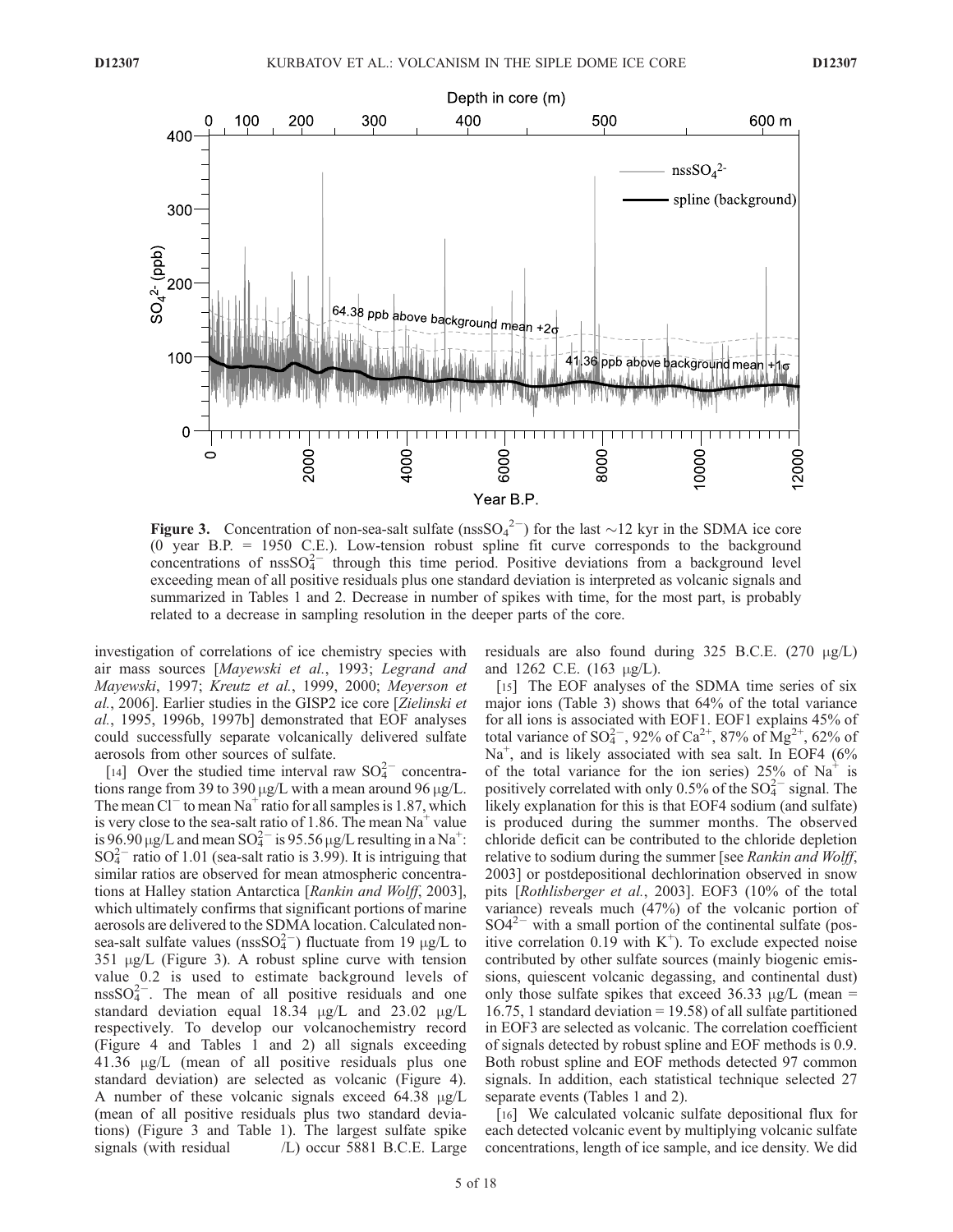

Figure 3. Concentration of non-sea-salt sulfate (nssSO<sub>4</sub><sup>2-</sup>) for the last  $\sim$ 12 kyr in the SDMA ice core (0 year B.P. = 1950 C.E.). Low-tension robust spline fit curve corresponds to the background concentrations of  $nssO<sub>4</sub><sup>2–</sup>$  through this time period. Positive deviations from a background level exceeding mean of all positive residuals plus one standard deviation is interpreted as volcanic signals and summarized in Tables 1 and 2. Decrease in number of spikes with time, for the most part, is probably related to a decrease in sampling resolution in the deeper parts of the core.

investigation of correlations of ice chemistry species with air mass sources [Mayewski et al., 1993; Legrand and Mayewski, 1997; Kreutz et al., 1999, 2000; Meyerson et al., 2006]. Earlier studies in the GISP2 ice core [Zielinski et al., 1995, 1996b, 1997b] demonstrated that EOF analyses could successfully separate volcanically delivered sulfate aerosols from other sources of sulfate.

[14] Over the studied time interval raw  $SO_4^{2-}$  concentrations range from 39 to 390  $\mu$ g/L with a mean around 96  $\mu$ g/L. The mean  $Cl^-$  to mean Na<sup>+</sup> ratio for all samples is 1.87, which is very close to the sea-salt ratio of 1.86. The mean  $Na<sup>+</sup>$  value is 96.90  $\mu$ g/L and mean SO $_4^{2-}$  is 95.56  $\mu$ g/L resulting in a Na<sup>+</sup>:  $SO_4^{2-}$  ratio of 1.01 (sea-salt ratio is 3.99). It is intriguing that similar ratios are observed for mean atmospheric concentrations at Halley station Antarctica [Rankin and Wolff, 2003], which ultimately confirms that significant portions of marine aerosols are delivered to the SDMA location. Calculated nonsea-salt sulfate values ( $nssSO_4^{2-}$ ) fluctuate from 19  $\mu g/L$  to  $351 \mu g/L$  (Figure 3). A robust spline curve with tension value 0.2 is used to estimate background levels of  $nssSO<sub>4</sub><sup>2</sup>$ . The mean of all positive residuals and one standard deviation equal  $18.34 \mu g/L$  and  $23.02 \mu g/L$ respectively. To develop our volcanochemistry record (Figure 4 and Tables 1 and 2) all signals exceeding  $41.36 \mu g/L$  (mean of all positive residuals plus one standard deviation) are selected as volcanic (Figure 4). A number of these volcanic signals exceed  $64.38 \mu g/L$ (mean of all positive residuals plus two standard deviations) (Figure 3 and Table 1). The largest sulfate spike signals (with residual  $/L$ ) occur 5881 B.C.E. Large residuals are also found during 325 B.C.E.  $(270 \mu g/L)$ and 1262 C.E.  $(163 \mu g/L)$ .

[15] The EOF analyses of the SDMA time series of six major ions (Table 3) shows that 64% of the total variance for all ions is associated with EOF1. EOF1 explains 45% of total variance of SO $^{2-}$ , 92% of Ca<sup>2+</sup>, 87% of Mg<sup>2+</sup>, 62% of Na<sup>+</sup>, and is likely associated with sea salt. In EOF4 (6% of the total variance for the ion series)  $25\%$  of Na<sup>+</sup> is positively correlated with only 0.5% of the  $SO_4^{2-}$  signal. The likely explanation for this is that EOF4 sodium (and sulfate) is produced during the summer months. The observed chloride deficit can be contributed to the chloride depletion relative to sodium during the summer [see Rankin and Wolff, 2003] or postdepositional dechlorination observed in snow pits [Rothlisberger et al., 2003]. EOF3 (10% of the total variance) reveals much (47%) of the volcanic portion of  $SO4^{2-}$  with a small portion of the continental sulfate (positive correlation 0.19 with  $K^+$ ). To exclude expected noise contributed by other sulfate sources (mainly biogenic emissions, quiescent volcanic degassing, and continental dust) only those sulfate spikes that exceed 36.33  $\mu$ g/L (mean = 16.75, 1 standard deviation = 19.58) of all sulfate partitioned in EOF3 are selected as volcanic. The correlation coefficient of signals detected by robust spline and EOF methods is 0.9. Both robust spline and EOF methods detected 97 common signals. In addition, each statistical technique selected 27 separate events (Tables 1 and 2).

[16] We calculated volcanic sulfate depositional flux for each detected volcanic event by multiplying volcanic sulfate concentrations, length of ice sample, and ice density. We did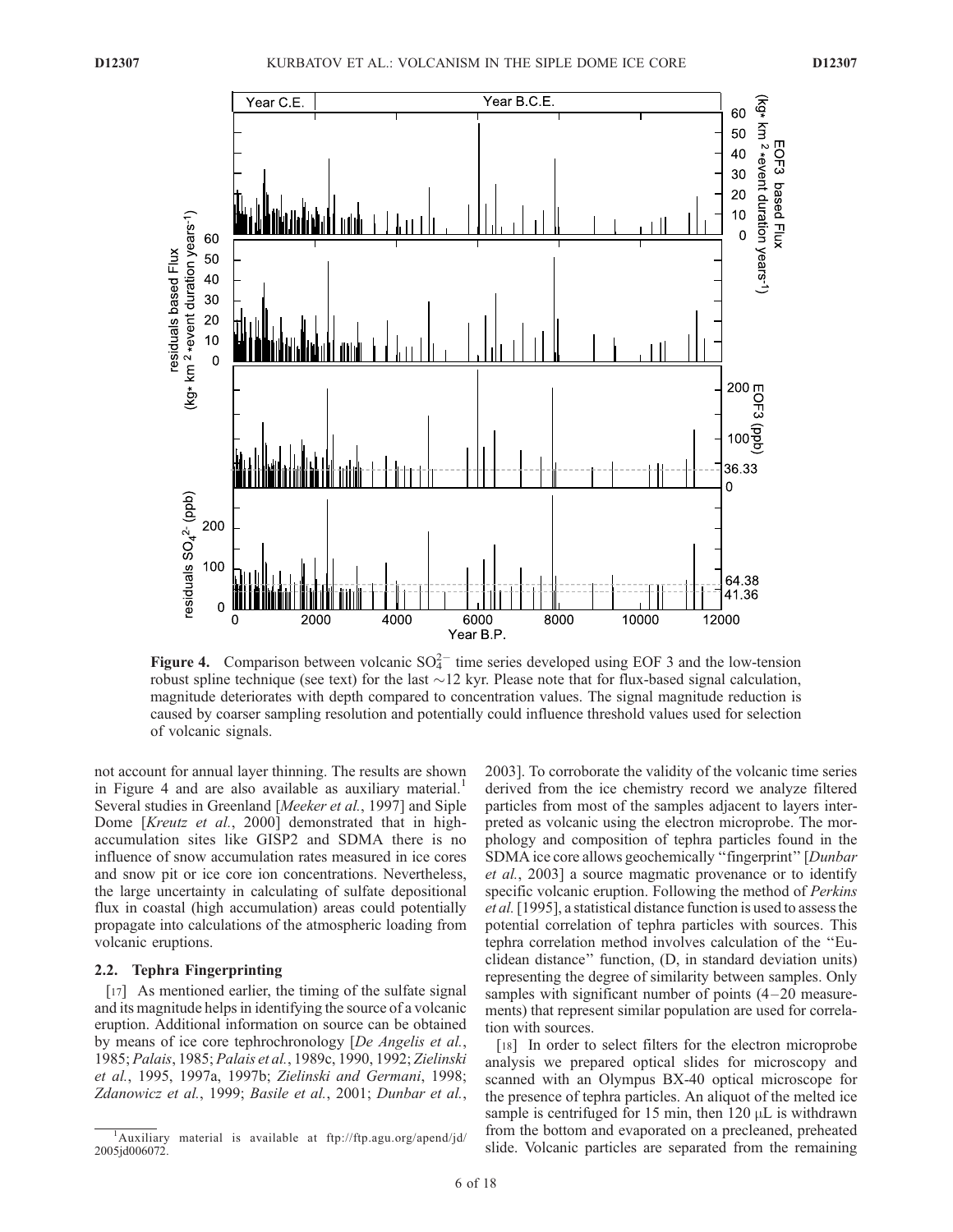

Figure 4. Comparison between volcanic  $SO_4^{2-}$  time series developed using EOF 3 and the low-tension robust spline technique (see text) for the last  $\sim$  12 kyr. Please note that for flux-based signal calculation, magnitude deteriorates with depth compared to concentration values. The signal magnitude reduction is caused by coarser sampling resolution and potentially could influence threshold values used for selection of volcanic signals.

not account for annual layer thinning. The results are shown in Figure 4 and are also available as auxiliary material.<sup>1</sup> Several studies in Greenland [Meeker et al., 1997] and Siple Dome [Kreutz et al., 2000] demonstrated that in highaccumulation sites like GISP2 and SDMA there is no influence of snow accumulation rates measured in ice cores and snow pit or ice core ion concentrations. Nevertheless, the large uncertainty in calculating of sulfate depositional flux in coastal (high accumulation) areas could potentially propagate into calculations of the atmospheric loading from volcanic eruptions.

#### 2.2. Tephra Fingerprinting

[17] As mentioned earlier, the timing of the sulfate signal and its magnitude helps in identifying the source of a volcanic eruption. Additional information on source can be obtained by means of ice core tephrochronology [De Angelis et al., 1985; Palais, 1985; Palais et al., 1989c, 1990, 1992; Zielinski et al., 1995, 1997a, 1997b; Zielinski and Germani, 1998; Zdanowicz et al., 1999; Basile et al., 2001; Dunbar et al.,

2003]. To corroborate the validity of the volcanic time series derived from the ice chemistry record we analyze filtered particles from most of the samples adjacent to layers interpreted as volcanic using the electron microprobe. The morphology and composition of tephra particles found in the SDMA ice core allows geochemically ''fingerprint'' [Dunbar et al., 2003] a source magmatic provenance or to identify specific volcanic eruption. Following the method of Perkins et al.[1995], a statistical distance function is used to assess the potential correlation of tephra particles with sources. This tephra correlation method involves calculation of the ''Euclidean distance'' function, (D, in standard deviation units) representing the degree of similarity between samples. Only samples with significant number of points  $(4-20)$  measurements) that represent similar population are used for correlation with sources.

[18] In order to select filters for the electron microprobe analysis we prepared optical slides for microscopy and scanned with an Olympus BX-40 optical microscope for the presence of tephra particles. An aliquot of the melted ice sample is centrifuged for 15 min, then  $120 \mu L$  is withdrawn from the bottom and evaporated on a precleaned, preheated slide. Volcanic particles are separated from the remaining

<sup>&</sup>lt;sup>1</sup>Auxiliary material is available at ftp://ftp.agu.org/apend/jd/ 2005jd006072.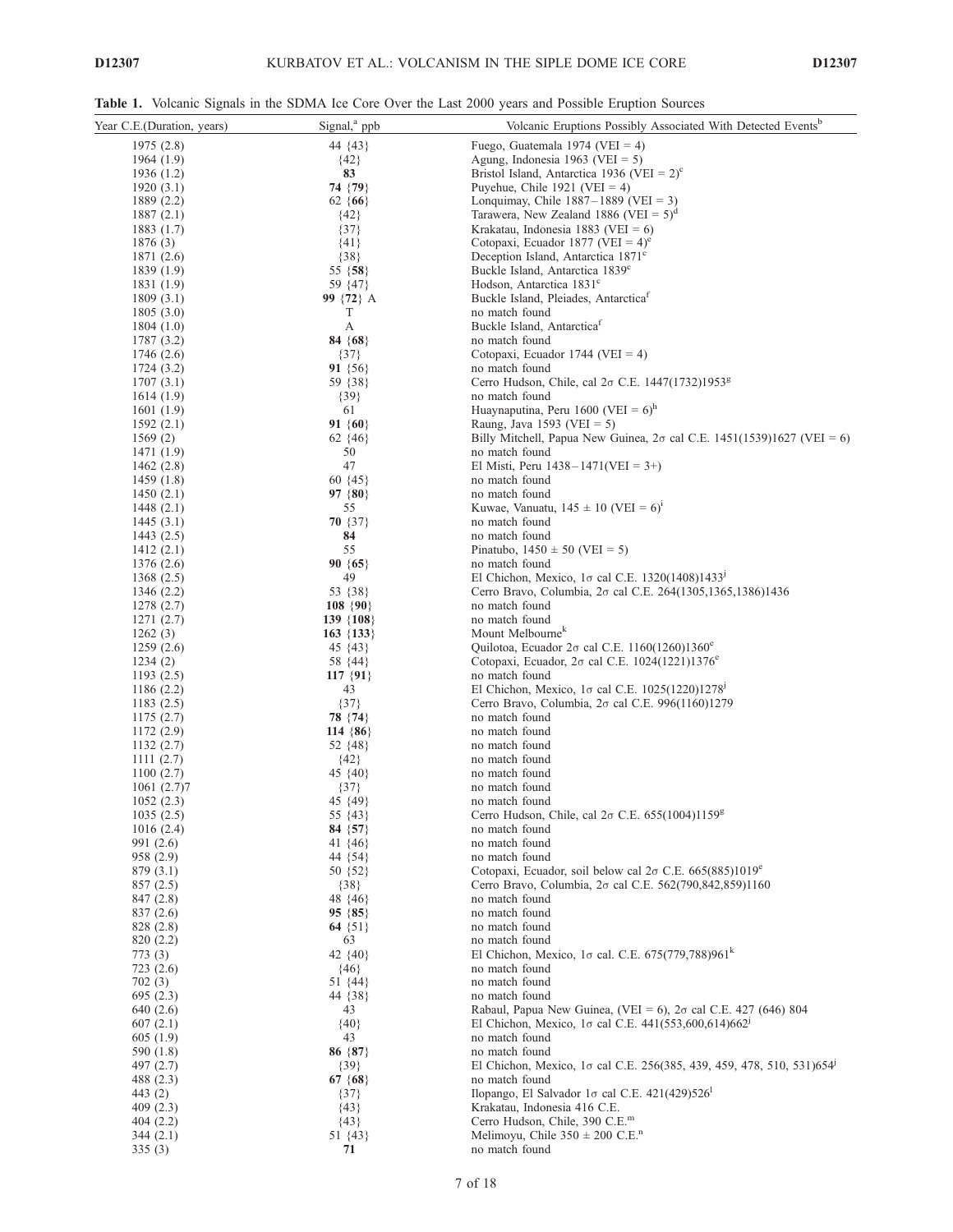Table 1. Volcanic Signals in the SDMA Ice Core Over the Last 2000 years and Possible Eruption Sources

| Year C.E.(Duration, years) | Signal, <sup>a</sup> ppb | Volcanic Eruptions Possibly Associated With Detected Events <sup>b</sup>                                                              |
|----------------------------|--------------------------|---------------------------------------------------------------------------------------------------------------------------------------|
| 1975 (2.8)                 | 44 {43}                  | Fuego, Guatemala 1974 (VEI = 4)                                                                                                       |
| 1964 (1.9)                 | ${42}$                   | Agung, Indonesia 1963 (VEI = 5)                                                                                                       |
| 1936 (1.2)                 | 83                       | Bristol Island, Antarctica 1936 (VEI = $2^{\circ}$ ) <sup>c</sup>                                                                     |
| 1920 (3.1)                 | 74 {79}                  | Puyehue, Chile $1921$ (VEI = 4)                                                                                                       |
| 1889 (2.2)                 | $62 \{66\}$              | Lonquimay, Chile $1887-1889$ (VEI = 3)                                                                                                |
| 1887(2.1)                  | ${42}$                   | Tarawera, New Zealand 1886 (VEI = $5)^d$                                                                                              |
| 1883 (1.7)                 | $\{37\}$                 | Krakatau, Indonesia 1883 (VEI = $6$ )                                                                                                 |
| 1876 (3)                   | ${41}$                   | Cotopaxi, Ecuador 1877 (VEI = $4^{\circ}$ ) <sup>e</sup>                                                                              |
| 1871 (2.6)                 | ${38}$                   | Deception Island, Antarctica 1871 <sup>c</sup>                                                                                        |
| 1839 (1.9)                 | 55 {58}                  | Buckle Island, Antarctica 1839 <sup>c</sup>                                                                                           |
| 1831 (1.9)                 | 59 {47}                  | Hodson, Antarctica 1831 <sup>c</sup>                                                                                                  |
| 1809(3.1)                  | 99 {72} A                | Buckle Island, Pleiades, Antarctica <sup>1</sup>                                                                                      |
| 1805 (3.0)                 | T                        | no match found                                                                                                                        |
| 1804 (1.0)                 | А                        | Buckle Island, Antarctica <sup>1</sup>                                                                                                |
| 1787 (3.2)                 | 84 $\{68\}$              | no match found                                                                                                                        |
| 1746 (2.6)<br>1724 (3.2)   | $\{37\}$<br>91 $\{56\}$  | Cotopaxi, Ecuador 1744 (VEI = 4)<br>no match found                                                                                    |
| 1707(3.1)                  | 59 {38}                  | Cerro Hudson, Chile, cal 2σ C.E. 1447(1732)1953 <sup>g</sup>                                                                          |
| 1614 (1.9)                 | $\{39\}$                 | no match found                                                                                                                        |
| 1601 (1.9)                 | 61                       | Huaynaputina, Peru 1600 (VEI = $6)^h$                                                                                                 |
| 1592(2.1)                  | 91 $\{60\}$              | Raung, Java 1593 (VEI $= 5$ )                                                                                                         |
| 1569(2)                    | $62 \{46\}$              | Billy Mitchell, Papua New Guinea, $2\sigma$ cal C.E. 1451(1539)1627 (VEI = 6)                                                         |
| 1471 (1.9)                 | 50                       | no match found                                                                                                                        |
| 1462 (2.8)                 | 47                       | El Misti, Peru $1438 - 1471(VEI = 3+)$                                                                                                |
| 1459 (1.8)                 | $60 \{45\}$              | no match found                                                                                                                        |
| 1450(2.1)                  | 97 $\{80\}$              | no match found                                                                                                                        |
| 1448 (2.1)                 | 55                       | Kuwae, Vanuatu, $145 \pm 10$ (VEI = 6) <sup>1</sup>                                                                                   |
| 1445(3.1)                  | $70 \{37\}$              | no match found                                                                                                                        |
| 1443 (2.5)                 | 84                       | no match found                                                                                                                        |
| 1412(2.1)                  | 55                       | Pinatubo, $1450 \pm 50$ (VEI = 5)                                                                                                     |
| 1376 (2.6)                 | $90 \{65\}$              | no match found                                                                                                                        |
| 1368 (2.5)                 | 49                       | El Chichon, Mexico, $1\sigma$ cal C.E. 1320(1408)1433 <sup>1</sup>                                                                    |
| 1346 (2.2)                 | 53 {38}                  | Cerro Bravo, Columbia, 2σ cal C.E. 264(1305, 1365, 1386) 1436                                                                         |
| 1278 (2.7)                 | $108 \{90\}$             | no match found                                                                                                                        |
| 1271(2.7)                  | $139 \{108\}$            | no match found<br>Mount Melbourne <sup>k</sup>                                                                                        |
| 1262(3)                    | $163 \{133\}$            |                                                                                                                                       |
| 1259(2.6)<br>1234(2)       | 45 {43}<br>58 {44}       | Quilotoa, Ecuador $2\sigma$ cal C.E. 1160(1260)1360 <sup>e</sup><br>Cotopaxi, Ecuador, $2\sigma$ cal C.E. 1024(1221)1376 <sup>e</sup> |
| 1193(2.5)                  | $117 \{91\}$             | no match found                                                                                                                        |
| 1186 (2.2)                 | 43                       | El Chichon, Mexico, $1\sigma$ cal C.E. $1025(1220)1278$                                                                               |
| 1183(2.5)                  | ${37}$                   | Cerro Bravo, Columbia, $2\sigma$ cal C.E. 996(1160)1279                                                                               |
| 1175(2.7)                  | 78 {74}                  | no match found                                                                                                                        |
| 1172 (2.9)                 | 114 $\{86\}$             | no match found                                                                                                                        |
| 1132(2.7)                  | 52 {48}                  | no match found                                                                                                                        |
| 1111(2.7)                  | ${42}$                   | no match found                                                                                                                        |
| 1100(2.7)                  | 45 {40}                  | no match found                                                                                                                        |
| 1061 (2.7)7                | $\{37\}$                 | no match found                                                                                                                        |
| 1052(2.3)                  | 45 {49}                  | no match found                                                                                                                        |
| 1035(2.5)                  | 55 {43}                  | Cerro Hudson, Chile, cal 2σ C.E. 655(1004)1159 <sup>g</sup>                                                                           |
| 1016(2.4)                  | 84 $\{57\}$              | no match found                                                                                                                        |
| 991 (2.6)                  | 41 $\{46\}$              | no match found                                                                                                                        |
| 958 (2.9)                  | 44 {54}                  | no match found                                                                                                                        |
| 879 (3.1)                  | 50 {52}                  | Cotopaxi, Ecuador, soil below cal $2\sigma$ C.E. 665(885)1019 <sup>e</sup>                                                            |
| 857(2.5)                   | ${38}$<br>48 {46}        | Cerro Bravo, Columbia, 2σ cal C.E. 562(790,842,859)1160<br>no match found                                                             |
| 847 (2.8)<br>837 (2.6)     | $95 \{85\}$              | no match found                                                                                                                        |
| 828 (2.8)                  | 64 $\{51\}$              | no match found                                                                                                                        |
| 820 (2.2)                  | 63                       | no match found                                                                                                                        |
| 773(3)                     | 42 {40}                  | El Chichon, Mexico, 1 $\sigma$ cal. C.E. 675(779,788)961 <sup>k</sup>                                                                 |
| 723(2.6)                   | ${46}$                   | no match found                                                                                                                        |
| 702(3)                     | $51 \{44\}$              | no match found                                                                                                                        |
| 695(2.3)                   | 44 { 38 }                | no match found                                                                                                                        |
| 640 (2.6)                  | 43                       | Rabaul, Papua New Guinea, (VEI = 6), $2\sigma$ cal C.E. 427 (646) 804                                                                 |
| 607(2.1)                   | ${40}$                   | El Chichon, Mexico, 1 $\sigma$ cal C.E. 441(553,600,614)662 <sup>1</sup>                                                              |
| 605 (1.9)                  | 43                       | no match found                                                                                                                        |
| 590 (1.8)                  | 86 $\{87\}$              | no match found                                                                                                                        |
| 497 (2.7)                  | ${39}$                   | El Chichon, Mexico, 1 $\sigma$ cal C.E. 256(385, 439, 459, 478, 510, 531)654 <sup>j</sup>                                             |
| 488 (2.3)                  | 67 $\{68\}$              | no match found                                                                                                                        |
| 443 (2)                    | $\{37\}$                 | Ilopango, El Salvador 1 $\sigma$ cal C.E. 421(429)526 <sup>1</sup>                                                                    |
| 409(2.3)                   | ${43}$                   | Krakatau, Indonesia 416 C.E.                                                                                                          |
| 404(2.2)                   | ${43}$                   | Cerro Hudson, Chile, 390 C.E. <sup>m</sup>                                                                                            |
| 344(2.1)                   | 51 {43}                  | Melimoyu, Chile $350 \pm 200$ C.E. <sup>n</sup>                                                                                       |
| 335(3)                     | 71                       | no match found                                                                                                                        |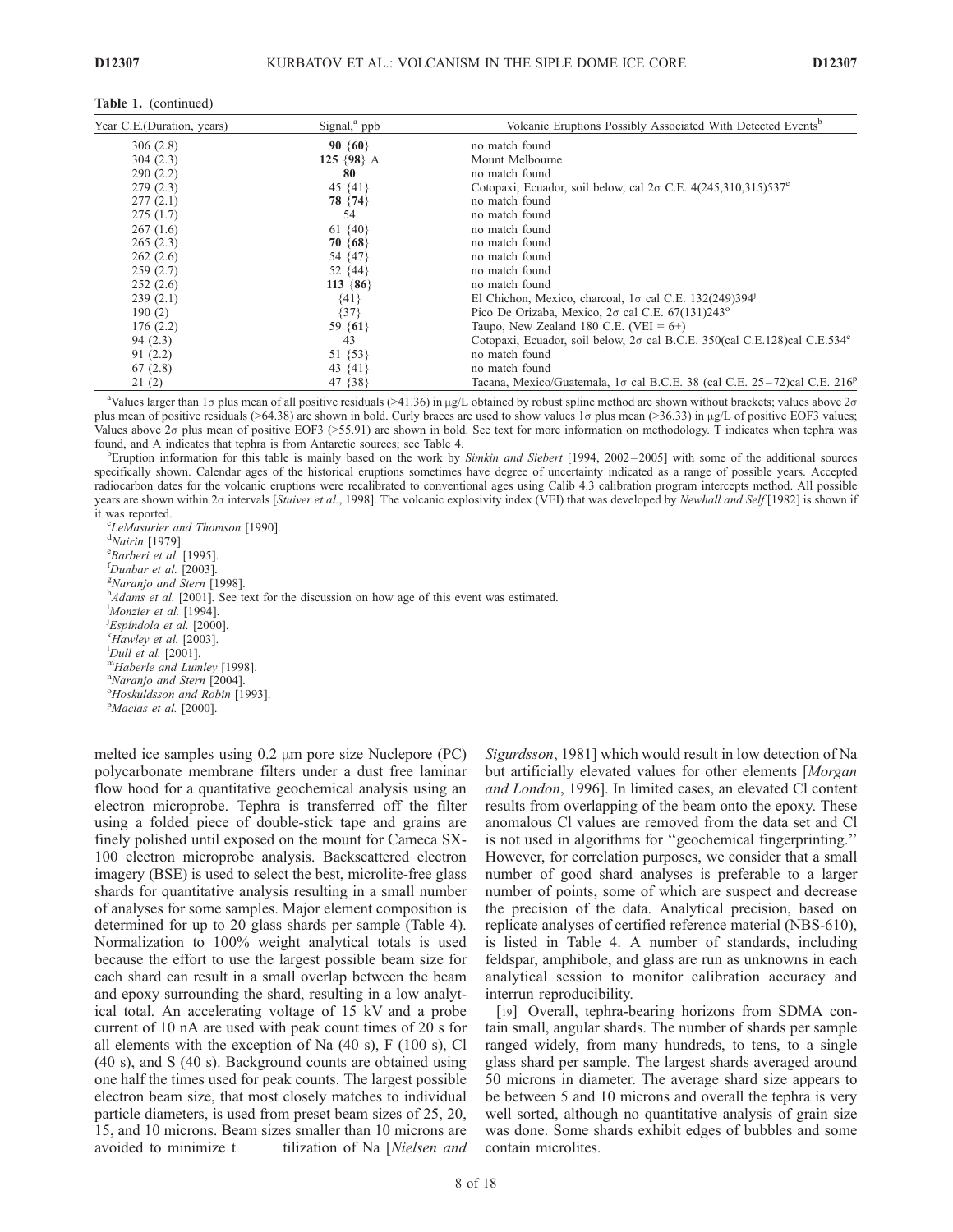| Year C.E. (Duration, years) | Signal, $a$ ppb | Volcanic Eruptions Possibly Associated With Detected Events <sup>b</sup>                     |  |  |  |  |  |  |  |
|-----------------------------|-----------------|----------------------------------------------------------------------------------------------|--|--|--|--|--|--|--|
| 306(2.8)                    | $90 \{60\}$     | no match found                                                                               |  |  |  |  |  |  |  |
| 304(2.3)                    | 125 $\{98\}$ A  | Mount Melbourne                                                                              |  |  |  |  |  |  |  |
| 290(2.2)                    | 80              | no match found                                                                               |  |  |  |  |  |  |  |
| 279(2.3)                    | 45 $\{41\}$     | Cotopaxi, Ecuador, soil below, cal $2\sigma$ C.E. 4(245,310,315)537 <sup>e</sup>             |  |  |  |  |  |  |  |
| 277(2.1)                    | 78 {74}         | no match found                                                                               |  |  |  |  |  |  |  |
| 275(1.7)                    | 54              | no match found                                                                               |  |  |  |  |  |  |  |
| 267(1.6)                    | 61 $\{40\}$     | no match found                                                                               |  |  |  |  |  |  |  |
| 265(2.3)                    | $70 \{68\}$     | no match found                                                                               |  |  |  |  |  |  |  |
| 262(2.6)                    | 54 {47}         | no match found                                                                               |  |  |  |  |  |  |  |
| 259(2.7)                    | 52 $\{44\}$     | no match found                                                                               |  |  |  |  |  |  |  |
| 252(2.6)                    | $113 \{86\}$    | no match found                                                                               |  |  |  |  |  |  |  |
| 239(2.1)                    | ${41}$          | El Chichon, Mexico, charcoal, $1\sigma$ cal C.E. 132(249)394 <sup>1</sup>                    |  |  |  |  |  |  |  |
| 190(2)                      | ${37}$          | Pico De Orizaba, Mexico, $2\sigma$ cal C.E. 67(131)243 <sup>o</sup>                          |  |  |  |  |  |  |  |
| 176(2.2)                    | 59 $\{61\}$     | Taupo, New Zealand 180 C.E. (VEI = $6+$ )                                                    |  |  |  |  |  |  |  |
| 94(2.3)                     | 43              | Cotopaxi, Ecuador, soil below, $2\sigma$ cal B.C.E. 350(cal C.E.128)cal C.E.534 <sup>e</sup> |  |  |  |  |  |  |  |
| 91(2.2)                     | 51 {53}         | no match found                                                                               |  |  |  |  |  |  |  |
| 67(2.8)                     | 43 {41}         | no match found                                                                               |  |  |  |  |  |  |  |
| 21(2)                       | 47 { 38 }       | Tacana, Mexico/Guatemala, 1 $\sigma$ cal B.C.E. 38 (cal C.E. 25–72)cal C.E. 216 <sup>p</sup> |  |  |  |  |  |  |  |

<sup>a</sup>Values larger than 1<sub>0</sub> plus mean of all positive residuals (>41.36) in µg/L obtained by robust spline method are shown without brackets; values above 2 $\sigma$ plus mean of positive residuals (>64.38) are shown in bold. Curly braces are used to show values 1 $\sigma$  plus mean (>36.33) in  $\mu$ g/L of positive EOF3 values; Values above 20 plus mean of positive EOF3 (>55.91) are shown in bold. See text for more information on methodology. T indicates when tephra was found, and A indicates that tephra is from Antarctic sources; see Table 4. <sup>b</sup>

<sup>b</sup>Eruption information for this table is mainly based on the work by Simkin and Siebert [1994, 2002-2005] with some of the additional sources specifically shown. Calendar ages of the historical eruptions sometimes have degree of uncertainty indicated as a range of possible years. Accepted radiocarbon dates for the volcanic eruptions were recalibrated to conventional ages using Calib 4.3 calibration program intercepts method. All possible years are shown within 20 intervals [Stuiver et al., 1998]. The volcanic explosivity index (VEI) that was developed by Newhall and Self [1982] is shown if it was reported.

<sup>c</sup>LeMasurier and Thomson [1990].  $d$ Nairin [1979]. <sup>e</sup>Barberi et al. [1995].  $<sup>I</sup> Dunbar et al. [2003].$ </sup> <sup>g</sup>Naranjo and Stern [1998].  $h_{Adams}$  et al. [2001]. See text for the discussion on how age of this event was estimated. Monzier et al. [1994].  $\mu_{\rm Esp}^{j}$ Espindola et al. [2000].  $^{k}$ Hawley et al. [2003].<br><sup>1</sup>Dull et al. [2001]. mHaberle and Lumley [1998]. <sup>n</sup>Naranjo and Stern [2004]. <sup>o</sup>Hoskuldsson and Robin [1993]. <sup>P</sup>Macias et al. [2000].

melted ice samples using  $0.2 \mu m$  pore size Nuclepore (PC) polycarbonate membrane filters under a dust free laminar flow hood for a quantitative geochemical analysis using an electron microprobe. Tephra is transferred off the filter using a folded piece of double-stick tape and grains are finely polished until exposed on the mount for Cameca SX-100 electron microprobe analysis. Backscattered electron imagery (BSE) is used to select the best, microlite-free glass shards for quantitative analysis resulting in a small number of analyses for some samples. Major element composition is determined for up to 20 glass shards per sample (Table 4). Normalization to 100% weight analytical totals is used because the effort to use the largest possible beam size for each shard can result in a small overlap between the beam and epoxy surrounding the shard, resulting in a low analytical total. An accelerating voltage of 15 kV and a probe current of 10 nA are used with peak count times of 20 s for all elements with the exception of Na (40 s), F (100 s), Cl (40 s), and S (40 s). Background counts are obtained using one half the times used for peak counts. The largest possible electron beam size, that most closely matches to individual particle diameters, is used from preset beam sizes of 25, 20, 15, and 10 microns. Beam sizes smaller than 10 microns are avoided to minimize t tilization of Na [Nielsen and Sigurdsson, 1981] which would result in low detection of Na but artificially elevated values for other elements [Morgan and London, 1996]. In limited cases, an elevated Cl content results from overlapping of the beam onto the epoxy. These anomalous Cl values are removed from the data set and Cl is not used in algorithms for ''geochemical fingerprinting.'' However, for correlation purposes, we consider that a small number of good shard analyses is preferable to a larger number of points, some of which are suspect and decrease the precision of the data. Analytical precision, based on replicate analyses of certified reference material (NBS-610), is listed in Table 4. A number of standards, including feldspar, amphibole, and glass are run as unknowns in each analytical session to monitor calibration accuracy and interrun reproducibility.

[19] Overall, tephra-bearing horizons from SDMA contain small, angular shards. The number of shards per sample ranged widely, from many hundreds, to tens, to a single glass shard per sample. The largest shards averaged around 50 microns in diameter. The average shard size appears to be between 5 and 10 microns and overall the tephra is very well sorted, although no quantitative analysis of grain size was done. Some shards exhibit edges of bubbles and some contain microlites.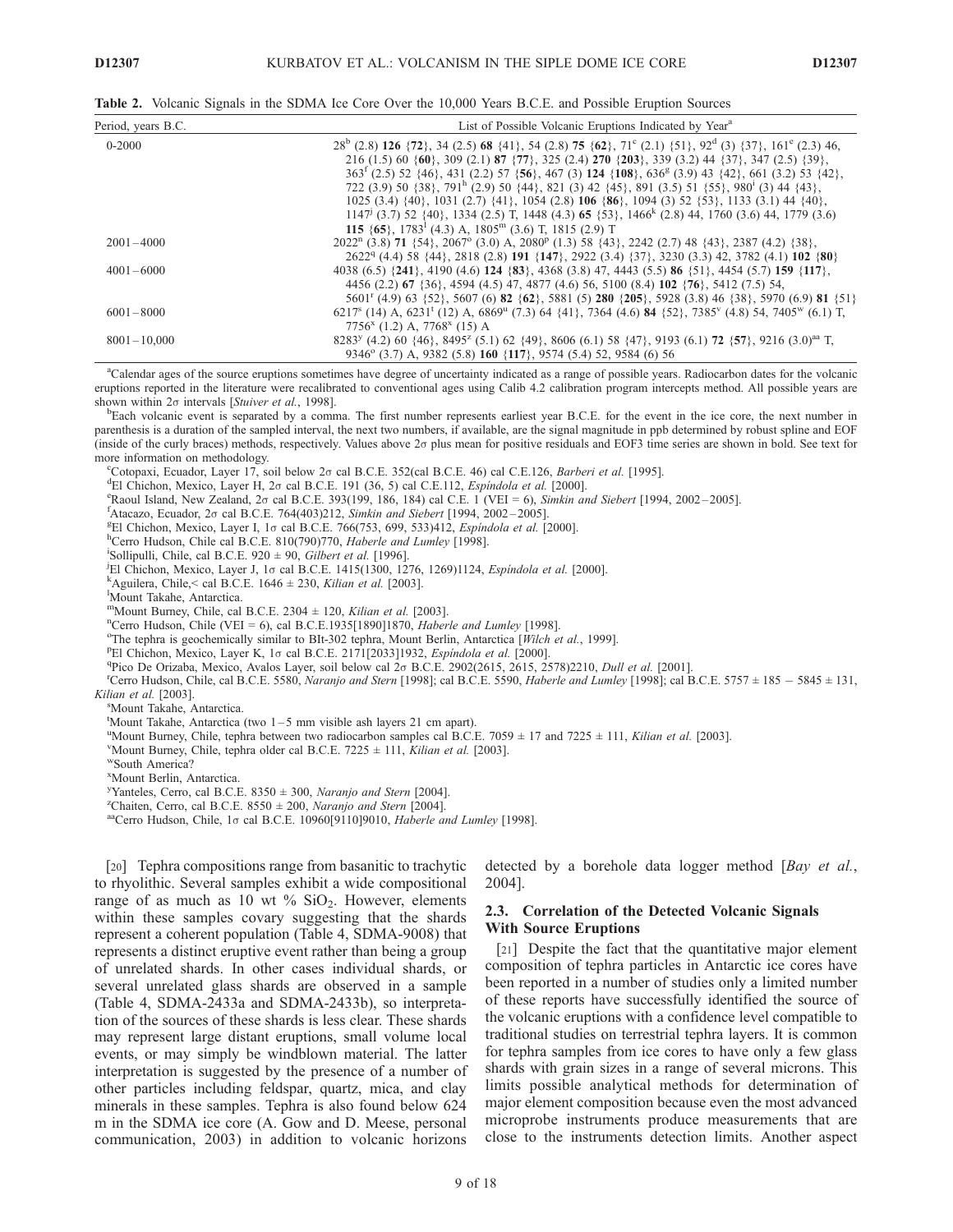Table 2. Volcanic Signals in the SDMA Ice Core Over the 10,000 Years B.C.E. and Possible Eruption Sources

| Period, years B.C. | List of Possible Volcanic Eruptions Indicated by Year <sup>a</sup>                                                                                                   |
|--------------------|----------------------------------------------------------------------------------------------------------------------------------------------------------------------|
| $0 - 2000$         | $28^b$ (2.8) 126 $\{72\}$ , 34 (2.5) 68 $\{41\}$ , 54 (2.8) 75 $\{62\}$ , 71 <sup>c</sup> (2.1) $\{51\}$ , 92 <sup>d</sup> (3) $\{37\}$ , 161 <sup>c</sup> (2.3) 46, |
|                    | 216 (1.5) 60 {60}, 309 (2.1) 87 {77}, 325 (2.4) 270 {203}, 339 (3.2) 44 {37}, 347 (2.5) {39},                                                                        |
|                    | $363^f$ (2.5) 52 {46}, 431 (2.2) 57 {56}, 467 (3) 124 {108}, 636 <sup>g</sup> (3.9) 43 {42}, 661 (3.2) 53 {42},                                                      |
|                    | 722 (3.9) 50 {38}, 791 <sup>h</sup> (2.9) 50 {44}, 821 (3) 42 {45}, 891 (3.5) 51 {55}, 980 <sup>i</sup> (3) 44 {43},                                                 |
|                    | 1025 (3.4) {40}, 1031 (2.7) {41}, 1054 (2.8) 106 {86}, 1094 (3) 52 {53}, 1133 (3.1) 44 {40},                                                                         |
|                    | $1147^{\text{j}}$ (3.7) 52 {40}, 1334 (2.5) T, 1448 (4.3) 65 {53}, 1466 <sup>k</sup> (2.8) 44, 1760 (3.6) 44, 1779 (3.6)                                             |
|                    | 115 $\{65\}$ , 1783 <sup>1</sup> (4.3) A, 1805 <sup>m</sup> (3.6) T, 1815 (2.9) T                                                                                    |
| $2001 - 4000$      | $2022n$ (3.8) 71 {54}, $2067o$ (3.0) A, $2080p$ (1.3) 58 {43}, $2242$ (2.7) 48 {43}, $2387$ (4.2) {38},                                                              |
|                    | $2622q$ (4.4) 58 {44}, 2818 (2.8) 191 {147}, 2922 (3.4) {37}, 3230 (3.3) 42, 3782 (4.1) 102 {80}                                                                     |
| $4001 - 6000$      | 4038 (6.5) {241}, 4190 (4.6) 124 {83}, 4368 (3.8) 47, 4443 (5.5) 86 {51}, 4454 (5.7) 159 {117},                                                                      |
|                    | 4456 (2.2) 67 {36}, 4594 (4.5) 47, 4877 (4.6) 56, 5100 (8.4) 102 {76}, 5412 (7.5) 54,                                                                                |
|                    | 5601 <sup>r</sup> (4.9) 63 {52}, 5607 (6) <b>82</b> { <b>62</b> }, 5881 (5) <b>280</b> { <b>205</b> }, 5928 (3.8) 46 {38}, 5970 (6.9) <b>81</b> {51}                 |
| $6001 - 8000$      | $6217s$ (14) A, $6231t$ (12) A, $6869u$ (7.3) 64 {41}, 7364 (4.6) 84 {52}, 7385 <sup>v</sup> (4.8) 54, 7405 <sup>w</sup> (6.1) T,                                    |
|                    | $7756x$ (1.2) A, $7768x$ (15) A                                                                                                                                      |
| $8001 - 10,000$    | $8283^{\gamma}$ (4.2) 60 {46}, $8495^{\gamma}$ (5.1) 62 {49}, 8606 (6.1) 58 {47}, 9193 (6.1) 72 {57}, 9216 (3.0) <sup>aa</sup> T,                                    |
|                    | 9346° (3.7) A, 9382 (5.8) 160 {117}, 9574 (5.4) 52, 9584 (6) 56                                                                                                      |

a Calendar ages of the source eruptions sometimes have degree of uncertainty indicated as a range of possible years. Radiocarbon dates for the volcanic eruptions reported in the literature were recalibrated to conventional ages using Calib 4.2 calibration program intercepts method. All possible years are shown within  $2\sigma$  intervals [Stuiver et al., 1998].

<sup>b</sup>Each volcanic event is separated by a comma. The first number represents earliest year B.C.E. for the event in the ice core, the next number in parenthesis is a duration of the sampled interval, the next two numbers, if available, are the signal magnitude in ppb determined by robust spline and EOF (inside of the curly braces) methods, respectively. Values above  $2\sigma$  plus mean for positive residuals and EOF3 time series are shown in bold. See text for more information on methodology.

Cotopaxi, Ecuador, Layer 17, soil below 20 cal B.C.E. 352(cal B.C.E. 46) cal C.E.126, Barberi et al. [1995].

<sup>d</sup>El Chichon, Mexico, Layer H, 2 $\sigma$  cal B.C.E. 191 (36, 5) cal C.E.112, *Espindola et al.* [2000].

 $R$ aoul Island, New Zealand, 2 $\sigma$  cal B.C.E. 393(199, 186, 184) cal C.E. 1 (VEI = 6), Simkin and Siebert [1994, 2002-2005].

 ${}^{\text{f}}$ Atacazo, Ecuador, 2σ cal B.C.E. 764(403)212, Simkin and Siebert [1994, 2002-2005].

<sup>g</sup>El Chichon, Mexico, Layer I, 10 cal B.C.E. 766(753, 699, 533)412, Espindola et al. [2000].

<sup>h</sup>Cerro Hudson, Chile cal B.C.E. 810(790)770, Haberle and Lumley [1998].

<sup>i</sup>Sollipulli, Chile, cal B.C.E. 920  $\pm$  90, Gilbert et al. [1996].

<sup>j</sup>El Chichon, Mexico, Layer J, 1<sub>0</sub> cal B.C.E. 1415(1300, 1276, 1269)1124, *Espindola et al.* [2000].

<sup>k</sup>Aguilera, Chile, < cal B.C.E. 1646  $\pm$  230, Kilian et al. [2003].

Mount Takahe, Antarctica.

mMount Burney, Chile, cal B.C.E.  $2304 \pm 120$ , Kilian et al. [2003].

<sup>n</sup>Cerro Hudson, Chile (VEI = 6), cal B.C.E.1935[1890]1870, *Haberle and Lumley* [1998].

<sup>o</sup>The tephra is geochemically similar to BIt-302 tephra, Mount Berlin, Antarctica [Wilch et al., 1999].

PEl Chichon, Mexico, Layer K, 1 $\sigma$  cal B.C.E. 2171[2033]1932, *Espindola et al.* [2000].

<sup>q</sup>Pico De Orizaba, Mexico, Avalos Layer, soil below cal  $2\sigma$  B.C.E. 2902(2615, 2615, 2578)2210, *Dull et al.* [2001].

<sup>r</sup>Cerro Hudson, Chile, cal B.C.E. 5580, Naranjo and Stern [1998]; cal B.C.E. 5590, Haberle and Lumley [1998]; cal B.C.E. 5757  $\pm$  185  $-$  5845  $\pm$  131, Kilian et al. [2003].

Mount Takahe, Antarctica.

t Mount Takahe, Antarctica (two 1 – 5 mm visible ash layers 21 cm apart).

<sup>u</sup>Mount Burney, Chile, tephra between two radiocarbon samples cal B.C.E. 7059  $\pm$  17 and 7225  $\pm$  111, Kilian et al. [2003].

<sup>V</sup>Mount Burney, Chile, tephra older cal B.C.E. 7225  $\pm$  111, *Kilian et al.* [2003]. <sup>w</sup>South America?

x Mount Berlin, Antarctica.

<sup>y</sup>Yanteles, Cerro, cal B.C.E. 8350  $\pm$  300, *Naranjo and Stern* [2004].

<sup>2</sup>Chaiten, Cerro, cal B.C.E. 8550  $\pm$  200, *Naranjo and Stern* [2004].<br><sup>aa</sup>Cerro Hudson, Chile, 1<sub>0</sub> cal B.C.E. 10960[9110]9010, *Haberle and Lumley* [1998].

[20] Tephra compositions range from basanitic to trachytic to rhyolithic. Several samples exhibit a wide compositional range of as much as 10 wt  $\%$  SiO<sub>2</sub>. However, elements within these samples covary suggesting that the shards represent a coherent population (Table 4, SDMA-9008) that represents a distinct eruptive event rather than being a group of unrelated shards. In other cases individual shards, or several unrelated glass shards are observed in a sample (Table 4, SDMA-2433a and SDMA-2433b), so interpretation of the sources of these shards is less clear. These shards may represent large distant eruptions, small volume local events, or may simply be windblown material. The latter interpretation is suggested by the presence of a number of other particles including feldspar, quartz, mica, and clay minerals in these samples. Tephra is also found below 624 m in the SDMA ice core (A. Gow and D. Meese, personal communication, 2003) in addition to volcanic horizons

detected by a borehole data logger method [Bay et al., 2004].

#### 2.3. Correlation of the Detected Volcanic Signals With Source Eruptions

[21] Despite the fact that the quantitative major element composition of tephra particles in Antarctic ice cores have been reported in a number of studies only a limited number of these reports have successfully identified the source of the volcanic eruptions with a confidence level compatible to traditional studies on terrestrial tephra layers. It is common for tephra samples from ice cores to have only a few glass shards with grain sizes in a range of several microns. This limits possible analytical methods for determination of major element composition because even the most advanced microprobe instruments produce measurements that are close to the instruments detection limits. Another aspect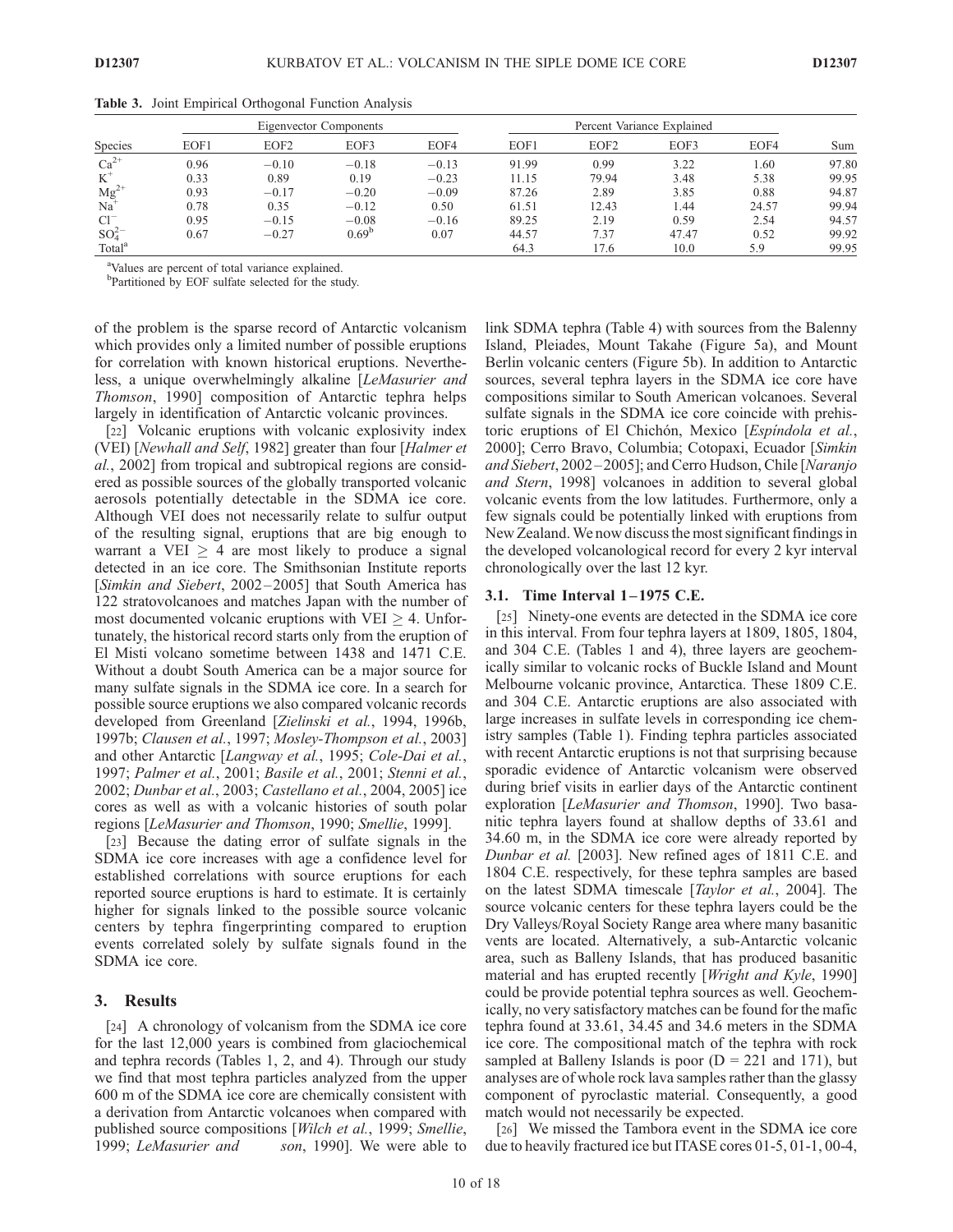| <b>Species</b>     |      |                  | Eigenvector Components |         |       |                  |       |       |       |
|--------------------|------|------------------|------------------------|---------|-------|------------------|-------|-------|-------|
|                    | EOF1 | EOF <sub>2</sub> | EOF3                   | EOF4    | EOF1  | EOF <sub>2</sub> | EOF3  | EOF4  | Sum   |
| $Ca^{2+}$          | 0.96 | $-0.10$          | $-0.18$                | $-0.13$ | 91.99 | 0.99             | 3.22  | 1.60  | 97.80 |
| $K^+$              | 0.33 | 0.89             | 0.19                   | $-0.23$ | 11.15 | 79.94            | 3.48  | 5.38  | 99.95 |
| $Mg^{2+}$          | 0.93 | $-0.17$          | $-0.20$                | $-0.09$ | 87.26 | 2.89             | 3.85  | 0.88  | 94.87 |
| Na                 | 0.78 | 0.35             | $-0.12$                | 0.50    | 61.51 | 12.43            | 1.44  | 24.57 | 99.94 |
| $Cl^{-}$           | 0.95 | $-0.15$          | $-0.08$                | $-0.16$ | 89.25 | 2.19             | 0.59  | 2.54  | 94.57 |
| $SO_4^{2-}$        | 0.67 | $-0.27$          | 0.69 <sup>b</sup>      | 0.07    | 44.57 | 7.37             | 47.47 | 0.52  | 99.92 |
| Total <sup>a</sup> |      |                  |                        |         | 64.3  | 17.6             | 10.0  | 5.9   | 99.95 |

Table 3. Joint Empirical Orthogonal Function Analysis

<sup>a</sup>Values are percent of total variance explained.

bPartitioned by EOF sulfate selected for the study.

of the problem is the sparse record of Antarctic volcanism which provides only a limited number of possible eruptions for correlation with known historical eruptions. Nevertheless, a unique overwhelmingly alkaline [LeMasurier and Thomson, 1990] composition of Antarctic tephra helps largely in identification of Antarctic volcanic provinces.

[22] Volcanic eruptions with volcanic explosivity index (VEI) [Newhall and Self, 1982] greater than four [Halmer et al., 2002] from tropical and subtropical regions are considered as possible sources of the globally transported volcanic aerosols potentially detectable in the SDMA ice core. Although VEI does not necessarily relate to sulfur output of the resulting signal, eruptions that are big enough to warrant a VEI  $\geq$  4 are most likely to produce a signal detected in an ice core. The Smithsonian Institute reports [Simkin and Siebert, 2002–2005] that South America has 122 stratovolcanoes and matches Japan with the number of most documented volcanic eruptions with  $VEI > 4$ . Unfortunately, the historical record starts only from the eruption of El Misti volcano sometime between 1438 and 1471 C.E. Without a doubt South America can be a major source for many sulfate signals in the SDMA ice core. In a search for possible source eruptions we also compared volcanic records developed from Greenland [Zielinski et al., 1994, 1996b, 1997b; Clausen et al., 1997; Mosley-Thompson et al., 2003] and other Antarctic [Langway et al., 1995; Cole-Dai et al., 1997; Palmer et al., 2001; Basile et al., 2001; Stenni et al., 2002; Dunbar et al., 2003; Castellano et al., 2004, 2005] ice cores as well as with a volcanic histories of south polar regions [LeMasurier and Thomson, 1990; Smellie, 1999].

[23] Because the dating error of sulfate signals in the SDMA ice core increases with age a confidence level for established correlations with source eruptions for each reported source eruptions is hard to estimate. It is certainly higher for signals linked to the possible source volcanic centers by tephra fingerprinting compared to eruption events correlated solely by sulfate signals found in the SDMA ice core.

#### 3. Results

[24] A chronology of volcanism from the SDMA ice core for the last 12,000 years is combined from glaciochemical and tephra records (Tables 1, 2, and 4). Through our study we find that most tephra particles analyzed from the upper 600 m of the SDMA ice core are chemically consistent with a derivation from Antarctic volcanoes when compared with published source compositions [Wilch et al., 1999; Smellie, 1999; LeMasurier and son, 1990]. We were able to

link SDMA tephra (Table 4) with sources from the Balenny Island, Pleiades, Mount Takahe (Figure 5a), and Mount Berlin volcanic centers (Figure 5b). In addition to Antarctic sources, several tephra layers in the SDMA ice core have compositions similar to South American volcanoes. Several sulfate signals in the SDMA ice core coincide with prehistoric eruptions of El Chichón, Mexico [*Espindola et al.*, 2000]; Cerro Bravo, Columbia; Cotopaxi, Ecuador [Simkin and Siebert, 2002-2005]; and Cerro Hudson, Chile [Naranjo and Stern, 1998] volcanoes in addition to several global volcanic events from the low latitudes. Furthermore, only a few signals could be potentially linked with eruptions from New Zealand.We now discuss the most significant findings in the developed volcanological record for every 2 kyr interval chronologically over the last 12 kyr.

#### 3.1. Time Interval 1-1975 C.E.

[25] Ninety-one events are detected in the SDMA ice core in this interval. From four tephra layers at 1809, 1805, 1804, and 304 C.E. (Tables 1 and 4), three layers are geochemically similar to volcanic rocks of Buckle Island and Mount Melbourne volcanic province, Antarctica. These 1809 C.E. and 304 C.E. Antarctic eruptions are also associated with large increases in sulfate levels in corresponding ice chemistry samples (Table 1). Finding tephra particles associated with recent Antarctic eruptions is not that surprising because sporadic evidence of Antarctic volcanism were observed during brief visits in earlier days of the Antarctic continent exploration [LeMasurier and Thomson, 1990]. Two basanitic tephra layers found at shallow depths of 33.61 and 34.60 m, in the SDMA ice core were already reported by Dunbar et al. [2003]. New refined ages of 1811 C.E. and 1804 C.E. respectively, for these tephra samples are based on the latest SDMA timescale [Taylor et al., 2004]. The source volcanic centers for these tephra layers could be the Dry Valleys/Royal Society Range area where many basanitic vents are located. Alternatively, a sub-Antarctic volcanic area, such as Balleny Islands, that has produced basanitic material and has erupted recently [Wright and Kyle, 1990] could be provide potential tephra sources as well. Geochemically, no very satisfactory matches can be found for the mafic tephra found at 33.61, 34.45 and 34.6 meters in the SDMA ice core. The compositional match of the tephra with rock sampled at Balleny Islands is poor  $(D = 221$  and 171), but analyses are of whole rock lava samples rather than the glassy component of pyroclastic material. Consequently, a good match would not necessarily be expected.

[26] We missed the Tambora event in the SDMA ice core due to heavily fractured ice but ITASE cores 01-5, 01-1, 00-4,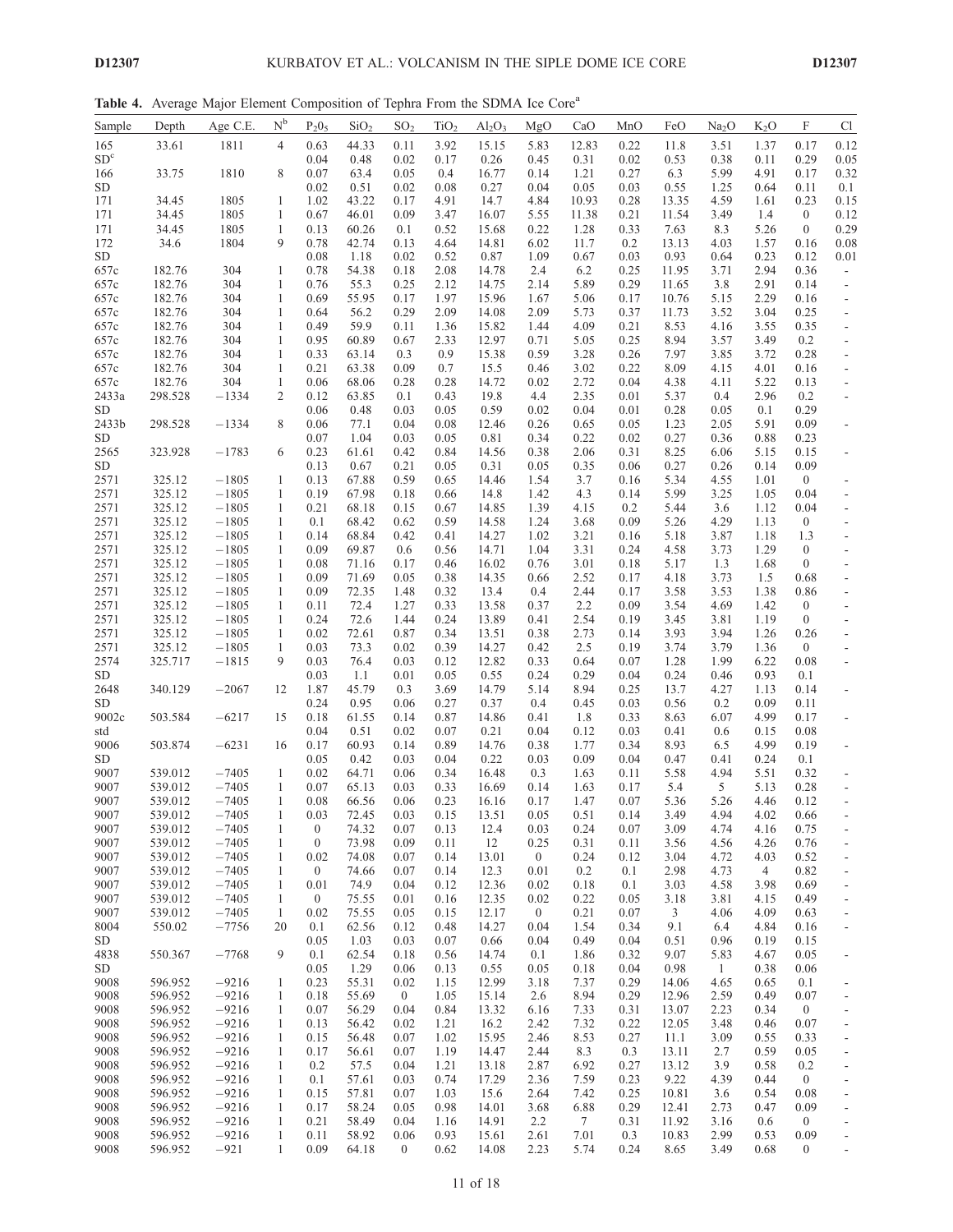Table 4. Average Major Element Composition of Tephra From the SDMA Ice Core<sup>a</sup>

| Sample            | Depth              | Age C.E.           | $N^b$                        | $P_2O_5$             | SiO <sub>2</sub> | SO <sub>2</sub>  | TiO <sub>2</sub> | $Al_2O_3$      | MgO                    | CaO          | MnO          | FeO            | Na <sub>2</sub> O | $K_2O$         | F                              | C1                                                   |
|-------------------|--------------------|--------------------|------------------------------|----------------------|------------------|------------------|------------------|----------------|------------------------|--------------|--------------|----------------|-------------------|----------------|--------------------------------|------------------------------------------------------|
| 165               | 33.61              | 1811               | $\overline{4}$               | 0.63                 | 44.33            | 0.11             | 3.92             | 15.15          | 5.83                   | 12.83        | 0.22         | 11.8           | 3.51              | 1.37           | 0.17                           | 0.12                                                 |
| SD <sup>c</sup>   |                    |                    |                              | 0.04                 | 0.48             | 0.02             | 0.17             | 0.26           | 0.45                   | 0.31         | 0.02         | 0.53           | 0.38              | 0.11           | 0.29                           | 0.05                                                 |
| 166               | 33.75              | 1810               | 8                            | 0.07                 | 63.4             | 0.05             | 0.4              | 16.77          | 0.14                   | 1.21         | 0.27         | 6.3            | 5.99              | 4.91           | 0.17                           | 0.32                                                 |
| ${\rm SD}$        |                    |                    |                              | 0.02                 | 0.51             | 0.02             | 0.08             | 0.27           | 0.04                   | 0.05         | 0.03         | 0.55           | 1.25              | 0.64           | 0.11                           | 0.1                                                  |
| 171               | 34.45              | 1805               | $\mathbf{1}$                 | 1.02                 | 43.22            | 0.17             | 4.91             | 14.7           | 4.84                   | 10.93        | 0.28         | 13.35          | 4.59              | 1.61           | 0.23                           | 0.15                                                 |
| 171               | 34.45              | 1805<br>1805       | $\mathbf{1}$<br>$\mathbf{1}$ | 0.67                 | 46.01            | 0.09             | 3.47             | 16.07          | 5.55                   | 11.38        | 0.21         | 11.54          | 3.49              | 1.4<br>5.26    | $\overline{0}$<br>$\mathbf{0}$ | 0.12<br>0.29                                         |
| 171<br>172        | 34.45<br>34.6      | 1804               | 9                            | 0.13<br>0.78         | 60.26<br>42.74   | 0.1<br>0.13      | 0.52<br>4.64     | 15.68<br>14.81 | 0.22<br>6.02           | 1.28<br>11.7 | 0.33<br>0.2  | 7.63<br>13.13  | 8.3<br>4.03       | 1.57           | 0.16                           | 0.08                                                 |
| ${\rm SD}$        |                    |                    |                              | 0.08                 | 1.18             | 0.02             | 0.52             | 0.87           | 1.09                   | 0.67         | 0.03         | 0.93           | 0.64              | 0.23           | 0.12                           | 0.01                                                 |
| 657c              | 182.76             | 304                | $\mathbf{1}$                 | 0.78                 | 54.38            | 0.18             | 2.08             | 14.78          | 2.4                    | 6.2          | 0.25         | 11.95          | 3.71              | 2.94           | 0.36                           | $\overline{\phantom{a}}$                             |
| 657c              | 182.76             | 304                | $\mathbf{1}$                 | 0.76                 | 55.3             | 0.25             | 2.12             | 14.75          | 2.14                   | 5.89         | 0.29         | 11.65          | 3.8               | 2.91           | 0.14                           | $\overline{\phantom{a}}$                             |
| 657c              | 182.76             | 304                | $\mathbf{1}$                 | 0.69                 | 55.95            | 0.17             | 1.97             | 15.96          | 1.67                   | 5.06         | 0.17         | 10.76          | 5.15              | 2.29           | 0.16                           | $\overline{\phantom{a}}$                             |
| 657c              | 182.76             | 304                | $\mathbf{1}$                 | 0.64                 | 56.2             | 0.29             | 2.09             | 14.08          | 2.09                   | 5.73         | 0.37         | 11.73          | 3.52              | 3.04           | 0.25                           | $\overline{\phantom{a}}$                             |
| 657c              | 182.76             | 304                | $\mathbf{1}$                 | 0.49                 | 59.9             | 0.11             | 1.36             | 15.82          | 1.44                   | 4.09         | 0.21         | 8.53           | 4.16              | 3.55           | 0.35                           | $\overline{\phantom{a}}$                             |
| 657c              | 182.76             | 304                | $\mathbf{1}$                 | 0.95                 | 60.89            | 0.67             | 2.33             | 12.97          | 0.71                   | 5.05         | 0.25         | 8.94           | 3.57              | 3.49           | 0.2                            | $\overline{\phantom{a}}$                             |
| 657c              | 182.76             | 304                | $\mathbf{1}$                 | 0.33                 | 63.14            | 0.3              | 0.9              | 15.38          | 0.59                   | 3.28         | 0.26         | 7.97           | 3.85              | 3.72           | 0.28                           | $\overline{\phantom{a}}$                             |
| 657c<br>657c      | 182.76<br>182.76   | 304<br>304         | $\mathbf{1}$<br>$\mathbf{1}$ | 0.21<br>0.06         | 63.38<br>68.06   | 0.09<br>0.28     | 0.7<br>0.28      | 15.5<br>14.72  | 0.46<br>0.02           | 3.02<br>2.72 | 0.22<br>0.04 | 8.09<br>4.38   | 4.15<br>4.11      | 4.01<br>5.22   | 0.16<br>0.13                   | $\overline{\phantom{a}}$<br>$\overline{\phantom{a}}$ |
| 2433a             | 298.528            | $-1334$            | 2                            | 0.12                 | 63.85            | 0.1              | 0.43             | 19.8           | 4.4                    | 2.35         | 0.01         | 5.37           | 0.4               | 2.96           | 0.2                            | $\overline{\phantom{a}}$                             |
| <b>SD</b>         |                    |                    |                              | 0.06                 | 0.48             | 0.03             | 0.05             | 0.59           | 0.02                   | 0.04         | 0.01         | 0.28           | 0.05              | 0.1            | 0.29                           |                                                      |
| 2433b             | 298.528            | $-1334$            | 8                            | 0.06                 | 77.1             | 0.04             | 0.08             | 12.46          | 0.26                   | 0.65         | 0.05         | 1.23           | 2.05              | 5.91           | 0.09                           | $\overline{\phantom{a}}$                             |
| <b>SD</b>         |                    |                    |                              | 0.07                 | 1.04             | 0.03             | 0.05             | 0.81           | 0.34                   | 0.22         | 0.02         | 0.27           | 0.36              | 0.88           | 0.23                           |                                                      |
| 2565              | 323.928            | $-1783$            | 6                            | 0.23                 | 61.61            | 0.42             | 0.84             | 14.56          | 0.38                   | 2.06         | 0.31         | 8.25           | 6.06              | 5.15           | 0.15                           | $\overline{\phantom{a}}$                             |
| SD.               |                    |                    |                              | 0.13                 | 0.67             | 0.21             | 0.05             | 0.31           | 0.05                   | 0.35         | 0.06         | 0.27           | 0.26              | 0.14           | 0.09                           |                                                      |
| 2571              | 325.12             | $-1805$            | $\mathbf{1}$                 | 0.13                 | 67.88            | 0.59             | 0.65             | 14.46          | 1.54                   | 3.7          | 0.16         | 5.34           | 4.55              | 1.01           | $\overline{0}$                 |                                                      |
| 2571              | 325.12             | $-1805$            | $\mathbf{1}$                 | 0.19                 | 67.98            | 0.18             | 0.66             | 14.8           | 1.42                   | 4.3          | 0.14         | 5.99           | 3.25              | 1.05           | 0.04                           | $\overline{\phantom{a}}$                             |
| 2571              | 325.12             | $-1805$            | $\mathbf{1}$                 | 0.21                 | 68.18            | 0.15             | 0.67             | 14.85          | 1.39                   | 4.15         | 0.2          | 5.44           | 3.6               | 1.12           | 0.04                           | $\overline{\phantom{a}}$                             |
| 2571              | 325.12             | $-1805$<br>$-1805$ | 1                            | 0.1                  | 68.42            | 0.62             | 0.59             | 14.58          | 1.24                   | 3.68         | 0.09         | 5.26           | 4.29              | 1.13           | $\overline{0}$                 | $\overline{\phantom{a}}$                             |
| 2571<br>2571      | 325.12<br>325.12   | $-1805$            | $\mathbf{1}$<br>$\mathbf{1}$ | 0.14<br>0.09         | 68.84<br>69.87   | 0.42<br>0.6      | 0.41<br>0.56     | 14.27<br>14.71 | 1.02<br>1.04           | 3.21<br>3.31 | 0.16<br>0.24 | 5.18<br>4.58   | 3.87<br>3.73      | 1.18<br>1.29   | 1.3<br>$\boldsymbol{0}$        | $\overline{\phantom{a}}$<br>$\overline{\phantom{a}}$ |
| 2571              | 325.12             | $-1805$            | $\mathbf{1}$                 | 0.08                 | 71.16            | 0.17             | 0.46             | 16.02          | 0.76                   | 3.01         | 0.18         | 5.17           | 1.3               | 1.68           | $\overline{0}$                 | $\overline{\phantom{a}}$                             |
| 2571              | 325.12             | $-1805$            | $\mathbf{1}$                 | 0.09                 | 71.69            | 0.05             | 0.38             | 14.35          | 0.66                   | 2.52         | 0.17         | 4.18           | 3.73              | 1.5            | 0.68                           | $\overline{\phantom{a}}$                             |
| 2571              | 325.12             | $-1805$            | $\mathbf{1}$                 | 0.09                 | 72.35            | 1.48             | 0.32             | 13.4           | 0.4                    | 2.44         | 0.17         | 3.58           | 3.53              | 1.38           | 0.86                           | $\overline{\phantom{a}}$                             |
| 2571              | 325.12             | $-1805$            | $\mathbf{1}$                 | 0.11                 | 72.4             | 1.27             | 0.33             | 13.58          | 0.37                   | 2.2          | 0.09         | 3.54           | 4.69              | 1.42           | $\overline{0}$                 | $\overline{\phantom{a}}$                             |
| 2571              | 325.12             | $-1805$            | 1                            | 0.24                 | 72.6             | 1.44             | 0.24             | 13.89          | 0.41                   | 2.54         | 0.19         | 3.45           | 3.81              | 1.19           | $\overline{0}$                 | $\overline{\phantom{a}}$                             |
| 2571              | 325.12             | $-1805$            | $\mathbf{1}$                 | 0.02                 | 72.61            | 0.87             | 0.34             | 13.51          | 0.38                   | 2.73         | 0.14         | 3.93           | 3.94              | 1.26           | 0.26                           | $\blacksquare$                                       |
| 2571              | 325.12             | $-1805$            | $\mathbf{1}$                 | 0.03                 | 73.3             | 0.02             | 0.39             | 14.27          | 0.42                   | 2.5          | 0.19         | 3.74           | 3.79              | 1.36           | $\overline{0}$                 | $\overline{\phantom{a}}$                             |
| 2574              | 325.717            | $-1815$            | 9                            | 0.03                 | 76.4             | 0.03             | 0.12             | 12.82          | 0.33                   | 0.64         | 0.07         | 1.28           | 1.99              | 6.22           | 0.08                           | $\overline{\phantom{a}}$                             |
| SD.               |                    |                    |                              | 0.03                 | 1.1              | 0.01             | 0.05             | 0.55<br>14.79  | 0.24                   | 0.29         | 0.04         | 0.24           | 0.46              | 0.93           | 0.1                            |                                                      |
| 2648<br><b>SD</b> | 340.129            | $-2067$            | 12                           | 1.87<br>0.24         | 45.79<br>0.95    | 0.3<br>0.06      | 3.69<br>0.27     | 0.37           | 5.14<br>0.4            | 8.94<br>0.45 | 0.25<br>0.03 | 13.7<br>0.56   | 4.27<br>0.2       | 1.13<br>0.09   | 0.14<br>0.11                   | $\overline{\phantom{a}}$                             |
| 9002c             | 503.584            | $-6217$            | 15                           | 0.18                 | 61.55            | 0.14             | 0.87             | 14.86          | 0.41                   | 1.8          | 0.33         | 8.63           | 6.07              | 4.99           | 0.17                           | $\overline{\phantom{a}}$                             |
| std               |                    |                    |                              | 0.04                 | 0.51             | 0.02             | 0.07             | 0.21           | 0.04                   | 0.12         | 0.03         | 0.41           | 0.6               | 0.15           | 0.08                           |                                                      |
| 9006              | 503.874            | $-6231$            | 16                           | 0.17                 | 60.93            | 0.14             | 0.89             | 14.76          | 0.38                   | 1.77         | 0.34         | 8.93           | 6.5               | 4.99           | 0.19                           | $\overline{\phantom{a}}$                             |
| <b>SD</b>         |                    |                    |                              | 0.05                 | 0.42             | 0.03             | 0.04             | 0.22           | 0.03                   | 0.09         | 0.04         | 0.47           | 0.41              | 0.24           | 0.1                            |                                                      |
| 9007              | 539.012            | $-7405$            | 1                            | 0.02                 | 64.71            | 0.06             | 0.34             | 16.48          | 0.3                    | 1.63         | 0.11         | 5.58           | 4.94              | 5.51           | 0.32                           | $\overline{\phantom{a}}$                             |
| 9007              | 539.012            | $-7405$            | $\mathbf{1}$                 | 0.07                 | 65.13            | 0.03             | 0.33             | 16.69          | 0.14                   | 1.63         | 0.17         | 5.4            | 5                 | 5.13           | 0.28                           | $\overline{\phantom{a}}$                             |
| 9007              | 539.012            | $-7405$            | $\mathbf{1}$                 | 0.08                 | 66.56            | 0.06             | 0.23             | 16.16          | 0.17                   | 1.47         | 0.07         | 5.36           | 5.26              | 4.46           | 0.12                           | $\overline{\phantom{a}}$                             |
| 9007              | 539.012            | $-7405$            | 1                            | 0.03                 | 72.45            | 0.03             | 0.15             | 13.51          | 0.05                   | 0.51         | 0.14         | 3.49           | 4.94              | 4.02           | 0.66                           |                                                      |
| 9007              | 539.012            | $-7405$            | $\mathbf{1}$                 | $\boldsymbol{0}$     | 74.32            | 0.07             | 0.13             | 12.4           | 0.03                   | 0.24         | 0.07         | 3.09           | 4.74              | 4.16           | 0.75                           |                                                      |
| 9007<br>9007      | 539.012<br>539.012 | $-7405$<br>$-7405$ | $\mathbf{1}$<br>$\mathbf{1}$ | $\mathbf{0}$<br>0.02 | 73.98<br>74.08   | 0.09<br>0.07     | 0.11<br>0.14     | 12<br>13.01    | 0.25<br>$\overline{0}$ | 0.31<br>0.24 | 0.11<br>0.12 | 3.56<br>3.04   | 4.56<br>4.72      | 4.26<br>4.03   | 0.76<br>0.52                   | $\overline{\phantom{a}}$                             |
| 9007              | 539.012            | $-7405$            | $\mathbf{1}$                 | $\boldsymbol{0}$     | 74.66            | 0.07             | 0.14             | 12.3           | 0.01                   | 0.2          | 0.1          | 2.98           | 4.73              | $\overline{4}$ | 0.82                           | $\overline{\phantom{a}}$<br>$\overline{\phantom{a}}$ |
| 9007              | 539.012            | $-7405$            | $\mathbf{1}$                 | 0.01                 | 74.9             | 0.04             | 0.12             | 12.36          | 0.02                   | 0.18         | 0.1          | 3.03           | 4.58              | 3.98           | 0.69                           | $\overline{\phantom{a}}$                             |
| 9007              | 539.012            | $-7405$            | $\mathbf{1}$                 | $\mathbf{0}$         | 75.55            | 0.01             | 0.16             | 12.35          | 0.02                   | 0.22         | 0.05         | 3.18           | 3.81              | 4.15           | 0.49                           | $\overline{\phantom{a}}$                             |
| 9007              | 539.012            | $-7405$            | $\mathbf{1}$                 | 0.02                 | 75.55            | 0.05             | 0.15             | 12.17          | $\mathbf{0}$           | 0.21         | 0.07         | 3              | 4.06              | 4.09           | 0.63                           | $\overline{\phantom{a}}$                             |
| 8004              | 550.02             | $-7756$            | 20                           | 0.1                  | 62.56            | 0.12             | 0.48             | 14.27          | 0.04                   | 1.54         | 0.34         | 9.1            | 6.4               | 4.84           | 0.16                           | $\overline{\phantom{a}}$                             |
| <b>SD</b>         |                    |                    |                              | 0.05                 | 1.03             | 0.03             | 0.07             | 0.66           | 0.04                   | 0.49         | 0.04         | 0.51           | 0.96              | 0.19           | 0.15                           |                                                      |
| 4838              | 550.367            | $-7768$            | 9                            | 0.1                  | 62.54            | 0.18             | 0.56             | 14.74          | 0.1                    | 1.86         | 0.32         | 9.07           | 5.83              | 4.67           | 0.05                           |                                                      |
| SD                |                    |                    |                              | 0.05                 | 1.29             | 0.06             | 0.13             | 0.55           | 0.05                   | 0.18         | 0.04         | 0.98           | 1                 | 0.38           | 0.06                           |                                                      |
| 9008              | 596.952            | $-9216$            | -1                           | 0.23                 | 55.31            | 0.02             | 1.15             | 12.99          | 3.18                   | 7.37         | 0.29         | 14.06          | 4.65              | 0.65           | 0.1                            |                                                      |
| 9008              | 596.952            | $-9216$            | $\mathbf{1}$                 | 0.18                 | 55.69            | $\overline{0}$   | 1.05             | 15.14          | 2.6                    | 8.94         | 0.29         | 12.96          | 2.59              | 0.49           | 0.07                           | $\overline{\phantom{a}}$                             |
| 9008<br>9008      | 596.952<br>596.952 | $-9216$<br>$-9216$ | $\mathbf{1}$<br>$\mathbf{1}$ | 0.07<br>0.13         | 56.29<br>56.42   | 0.04<br>0.02     | 0.84<br>1.21     | 13.32<br>16.2  | 6.16<br>2.42           | 7.33<br>7.32 | 0.31<br>0.22 | 13.07<br>12.05 | 2.23<br>3.48      | 0.34           | $\overline{0}$<br>0.07         | $\overline{\phantom{a}}$                             |
| 9008              | 596.952            | $-9216$            | $\mathbf{1}$                 | 0.15                 | 56.48            | 0.07             | 1.02             | 15.95          | 2.46                   | 8.53         | 0.27         | 11.1           | 3.09              | 0.46<br>0.55   | 0.33                           | $\overline{\phantom{a}}$                             |
| 9008              | 596.952            | $-9216$            | $\mathbf{1}$                 | 0.17                 | 56.61            | 0.07             | 1.19             | 14.47          | 2.44                   | 8.3          | 0.3          | 13.11          | 2.7               | 0.59           | 0.05                           | $\overline{\phantom{a}}$<br>$\overline{\phantom{a}}$ |
| 9008              | 596.952            | $-9216$            | $\mathbf{1}$                 | 0.2                  | 57.5             | 0.04             | 1.21             | 13.18          | 2.87                   | 6.92         | 0.27         | 13.12          | 3.9               | 0.58           | 0.2                            | $\overline{\phantom{a}}$                             |
| 9008              | 596.952            | $-9216$            | $\mathbf{1}$                 | 0.1                  | 57.61            | 0.03             | 0.74             | 17.29          | 2.36                   | 7.59         | 0.23         | 9.22           | 4.39              | 0.44           | $\mathbf{0}$                   | $\overline{\phantom{a}}$                             |
| 9008              | 596.952            | $-9216$            | $\mathbf{1}$                 | 0.15                 | 57.81            | 0.07             | 1.03             | 15.6           | 2.64                   | 7.42         | 0.25         | 10.81          | 3.6               | 0.54           | 0.08                           | $\overline{\phantom{a}}$                             |
| 9008              | 596.952            | $-9216$            | $\mathbf{1}$                 | 0.17                 | 58.24            | 0.05             | 0.98             | 14.01          | 3.68                   | 6.88         | 0.29         | 12.41          | 2.73              | 0.47           | 0.09                           | $\overline{\phantom{a}}$                             |
| 9008              | 596.952            | $-9216$            | $\mathbf{1}$                 | 0.21                 | 58.49            | 0.04             | 1.16             | 14.91          | 2.2                    | $\tau$       | 0.31         | 11.92          | 3.16              | 0.6            | $\overline{0}$                 | $\overline{\phantom{a}}$                             |
| 9008              | 596.952            | $-9216$            | $\mathbf{1}$                 | 0.11                 | 58.92            | 0.06             | 0.93             | 15.61          | 2.61                   | 7.01         | 0.3          | 10.83          | 2.99              | 0.53           | 0.09                           | $\blacksquare$                                       |
| 9008              | 596.952            | $-921$             | $\mathbf{1}$                 | 0.09                 | 64.18            | $\boldsymbol{0}$ | 0.62             | 14.08          | 2.23                   | 5.74         | 0.24         | 8.65           | 3.49              | 0.68           | $\overline{0}$                 | $\sim$                                               |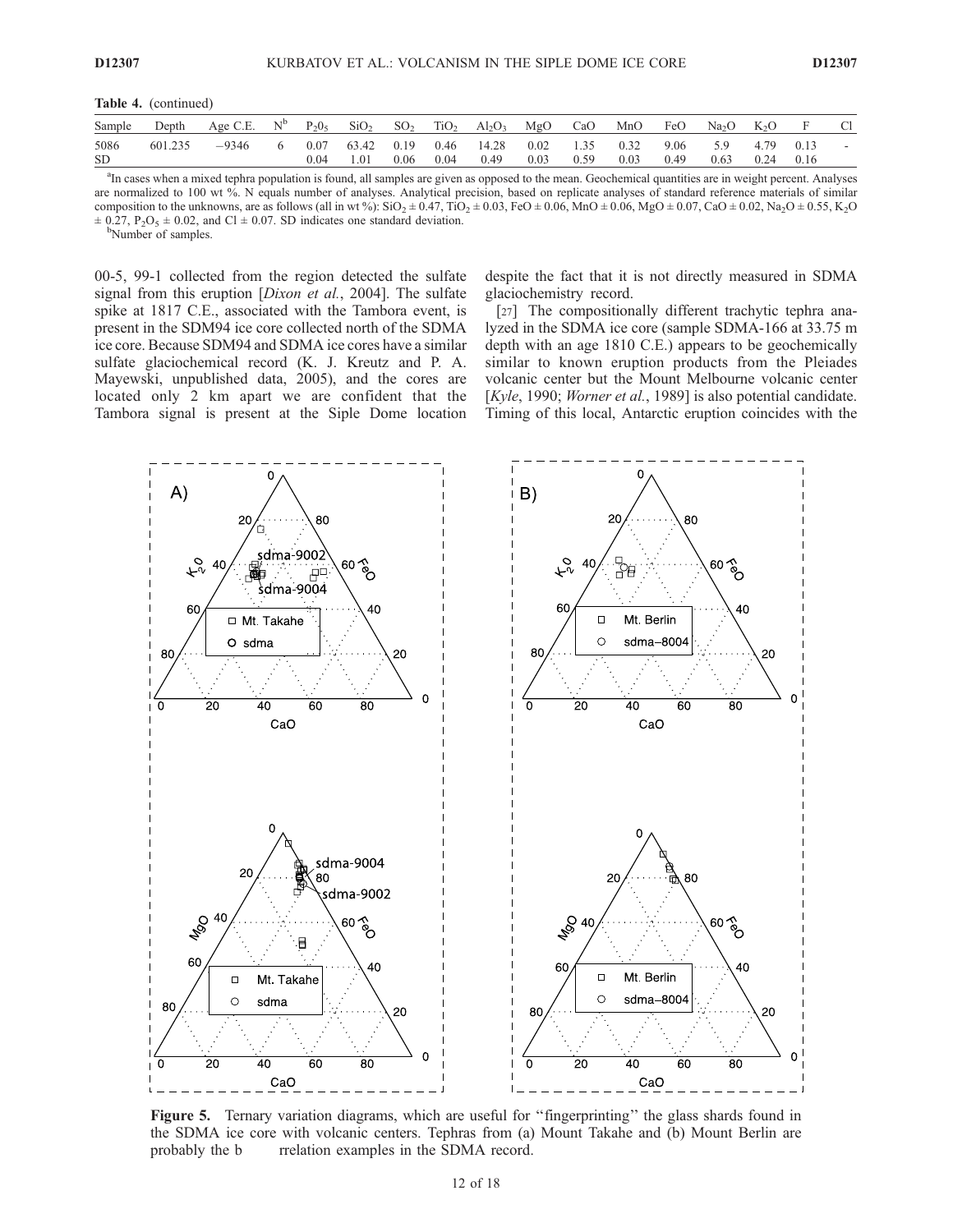Table 4. (continued)

| Sample            |         | Depth Age C.E. $N^b$ P <sub>2</sub> 0 <sub>5</sub> SiO <sub>2</sub> SO <sub>2</sub> TiO <sub>2</sub> Al <sub>2</sub> O <sub>3</sub> MgO CaO MnO FeO Na <sub>2</sub> O K <sub>2</sub> O |  |        |      |      |                                    |                            |      |              |      |                  |              |              |  |
|-------------------|---------|----------------------------------------------------------------------------------------------------------------------------------------------------------------------------------------|--|--------|------|------|------------------------------------|----------------------------|------|--------------|------|------------------|--------------|--------------|--|
| 5086<br><b>SD</b> | 601.235 | $-9346$                                                                                                                                                                                |  | - 1.01 | 0.06 | 0.04 | 0.07 63.42 0.19 0.46 14.28<br>0.49 | $0.02 \qquad 1.35$<br>0.03 | 0.59 | 0.32<br>0.03 | 0.49 | 9.06 5.9<br>0.63 | 4.79<br>0.24 | 0.13<br>0.16 |  |

<sup>a</sup>In cases when a mixed tephra population is found, all samples are given as opposed to the mean. Geochemical quantities are in weight percent. Analyses are normalized to 100 wt %. N equals number of analyses. Analytical precision, based on replicate analyses of standard reference materials of similar composition to the unknowns, are as follows (all in wt %):  $SiO_2 \pm 0.47$ ,  $TiO_2 \pm 0.03$ ,  $FeO \pm 0.06$ ,  $MnO \pm 0.06$ ,  $MgO \pm 0.07$ ,  $CaO \pm 0.02$ ,  $Na_2O \pm 0.55$ ,  $K_2O$  $\pm$  0.27, P<sub>2</sub>O<sub>5</sub>  $\pm$  0.02, and Cl  $\pm$  0.07. SD indicates one standard deviation.

<sup>b</sup>Number of samples.

00-5, 99-1 collected from the region detected the sulfate signal from this eruption [*Dixon et al.*, 2004]. The sulfate spike at 1817 C.E., associated with the Tambora event, is present in the SDM94 ice core collected north of the SDMA ice core. Because SDM94 and SDMA ice cores have a similar sulfate glaciochemical record (K. J. Kreutz and P. A. Mayewski, unpublished data, 2005), and the cores are located only 2 km apart we are confident that the Tambora signal is present at the Siple Dome location

despite the fact that it is not directly measured in SDMA glaciochemistry record.

[27] The compositionally different trachytic tephra analyzed in the SDMA ice core (sample SDMA-166 at 33.75 m depth with an age 1810 C.E.) appears to be geochemically similar to known eruption products from the Pleiades volcanic center but the Mount Melbourne volcanic center [Kyle, 1990; Worner et al., 1989] is also potential candidate. Timing of this local, Antarctic eruption coincides with the



Figure 5. Ternary variation diagrams, which are useful for ''fingerprinting'' the glass shards found in the SDMA ice core with volcanic centers. Tephras from (a) Mount Takahe and (b) Mount Berlin are probably the b rrelation examples in the SDMA record.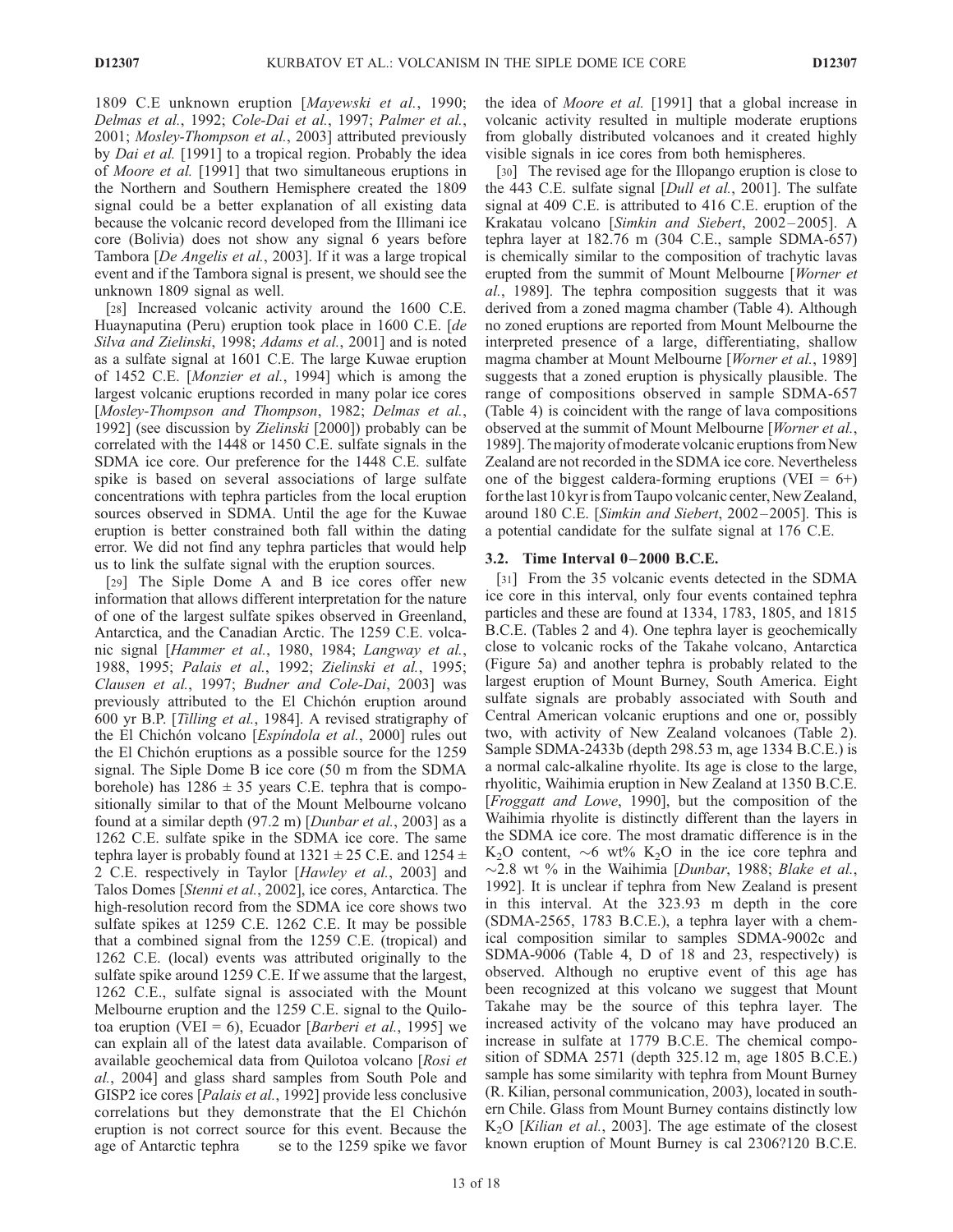1809 C.E unknown eruption [Mayewski et al., 1990; Delmas et al., 1992; Cole-Dai et al., 1997; Palmer et al., 2001; Mosley-Thompson et al., 2003] attributed previously by *Dai et al.* [1991] to a tropical region. Probably the idea of Moore et al. [1991] that two simultaneous eruptions in the Northern and Southern Hemisphere created the 1809 signal could be a better explanation of all existing data because the volcanic record developed from the Illimani ice core (Bolivia) does not show any signal 6 years before Tambora [De Angelis et al., 2003]. If it was a large tropical event and if the Tambora signal is present, we should see the unknown 1809 signal as well.

[28] Increased volcanic activity around the 1600 C.E. Huaynaputina (Peru) eruption took place in 1600 C.E. [de Silva and Zielinski, 1998; Adams et al., 2001] and is noted as a sulfate signal at 1601 C.E. The large Kuwae eruption of 1452 C.E. [Monzier et al., 1994] which is among the largest volcanic eruptions recorded in many polar ice cores [Mosley-Thompson and Thompson, 1982; Delmas et al., 1992] (see discussion by Zielinski [2000]) probably can be correlated with the 1448 or 1450 C.E. sulfate signals in the SDMA ice core. Our preference for the 1448 C.E. sulfate spike is based on several associations of large sulfate concentrations with tephra particles from the local eruption sources observed in SDMA. Until the age for the Kuwae eruption is better constrained both fall within the dating error. We did not find any tephra particles that would help us to link the sulfate signal with the eruption sources.

[29] The Siple Dome A and B ice cores offer new information that allows different interpretation for the nature of one of the largest sulfate spikes observed in Greenland, Antarctica, and the Canadian Arctic. The 1259 C.E. volcanic signal [Hammer et al., 1980, 1984; Langway et al., 1988, 1995; Palais et al., 1992; Zielinski et al., 1995; Clausen et al., 1997; Budner and Cole-Dai, 2003] was previously attributed to the El Chichón eruption around 600 yr B.P. [Tilling et al., 1984]. A revised stratigraphy of the El Chichón volcano [Espindola et al., 2000] rules out the El Chichón eruptions as a possible source for the 1259 signal. The Siple Dome B ice core (50 m from the SDMA borehole) has  $1286 \pm 35$  years C.E. tephra that is compositionally similar to that of the Mount Melbourne volcano found at a similar depth (97.2 m) [Dunbar et al., 2003] as a 1262 C.E. sulfate spike in the SDMA ice core. The same tephra layer is probably found at  $1321 \pm 25$  C.E. and  $1254 \pm$ 2 C.E. respectively in Taylor [Hawley et al., 2003] and Talos Domes [Stenni et al., 2002], ice cores, Antarctica. The high-resolution record from the SDMA ice core shows two sulfate spikes at 1259 C.E. 1262 C.E. It may be possible that a combined signal from the 1259 C.E. (tropical) and 1262 C.E. (local) events was attributed originally to the sulfate spike around 1259 C.E. If we assume that the largest, 1262 C.E., sulfate signal is associated with the Mount Melbourne eruption and the 1259 C.E. signal to the Quilotoa eruption (VEI = 6), Ecuador [*Barberi et al.*, 1995] we can explain all of the latest data available. Comparison of available geochemical data from Quilotoa volcano [Rosi et al., 2004] and glass shard samples from South Pole and GISP2 ice cores [*Palais et al.*, 1992] provide less conclusive correlations but they demonstrate that the El Chichón eruption is not correct source for this event. Because the age of Antarctic tephra se to the 1259 spike we favor

the idea of Moore et al. [1991] that a global increase in volcanic activity resulted in multiple moderate eruptions from globally distributed volcanoes and it created highly visible signals in ice cores from both hemispheres.

[30] The revised age for the Illopango eruption is close to the 443 C.E. sulfate signal [*Dull et al.*, 2001]. The sulfate signal at 409 C.E. is attributed to 416 C.E. eruption of the Krakatau volcano [Simkin and Siebert, 2002-2005]. A tephra layer at 182.76 m (304 C.E., sample SDMA-657) is chemically similar to the composition of trachytic lavas erupted from the summit of Mount Melbourne [Worner et al., 1989]. The tephra composition suggests that it was derived from a zoned magma chamber (Table 4). Although no zoned eruptions are reported from Mount Melbourne the interpreted presence of a large, differentiating, shallow magma chamber at Mount Melbourne [Worner et al., 1989] suggests that a zoned eruption is physically plausible. The range of compositions observed in sample SDMA-657 (Table 4) is coincident with the range of lava compositions observed at the summit of Mount Melbourne [Worner et al., 1989]. The majority of moderate volcanic eruptions from New Zealand are not recorded in the SDMA ice core. Nevertheless one of the biggest caldera-forming eruptions (VEI =  $6+)$ for the last 10 kyr is from Taupo volcanic center, New Zealand, around 180 C.E. [Simkin and Siebert, 2002 – 2005]. This is a potential candidate for the sulfate signal at 176 C.E.

#### 3.2. Time Interval 0-2000 B.C.E.

[31] From the 35 volcanic events detected in the SDMA ice core in this interval, only four events contained tephra particles and these are found at 1334, 1783, 1805, and 1815 B.C.E. (Tables 2 and 4). One tephra layer is geochemically close to volcanic rocks of the Takahe volcano, Antarctica (Figure 5a) and another tephra is probably related to the largest eruption of Mount Burney, South America. Eight sulfate signals are probably associated with South and Central American volcanic eruptions and one or, possibly two, with activity of New Zealand volcanoes (Table 2). Sample SDMA-2433b (depth 298.53 m, age 1334 B.C.E.) is a normal calc-alkaline rhyolite. Its age is close to the large, rhyolitic, Waihimia eruption in New Zealand at 1350 B.C.E. [Froggatt and Lowe, 1990], but the composition of the Waihimia rhyolite is distinctly different than the layers in the SDMA ice core. The most dramatic difference is in the K<sub>2</sub>O content,  $\sim$ 6 wt% K<sub>2</sub>O in the ice core tephra and  $\sim$ 2.8 wt % in the Waihimia [Dunbar, 1988; Blake et al., 1992]. It is unclear if tephra from New Zealand is present in this interval. At the 323.93 m depth in the core (SDMA-2565, 1783 B.C.E.), a tephra layer with a chemical composition similar to samples SDMA-9002c and SDMA-9006 (Table 4, D of 18 and 23, respectively) is observed. Although no eruptive event of this age has been recognized at this volcano we suggest that Mount Takahe may be the source of this tephra layer. The increased activity of the volcano may have produced an increase in sulfate at 1779 B.C.E. The chemical composition of SDMA 2571 (depth 325.12 m, age 1805 B.C.E.) sample has some similarity with tephra from Mount Burney (R. Kilian, personal communication, 2003), located in southern Chile. Glass from Mount Burney contains distinctly low  $K<sub>2</sub>O$  [*Kilian et al.*, 2003]. The age estimate of the closest known eruption of Mount Burney is cal 2306?120 B.C.E.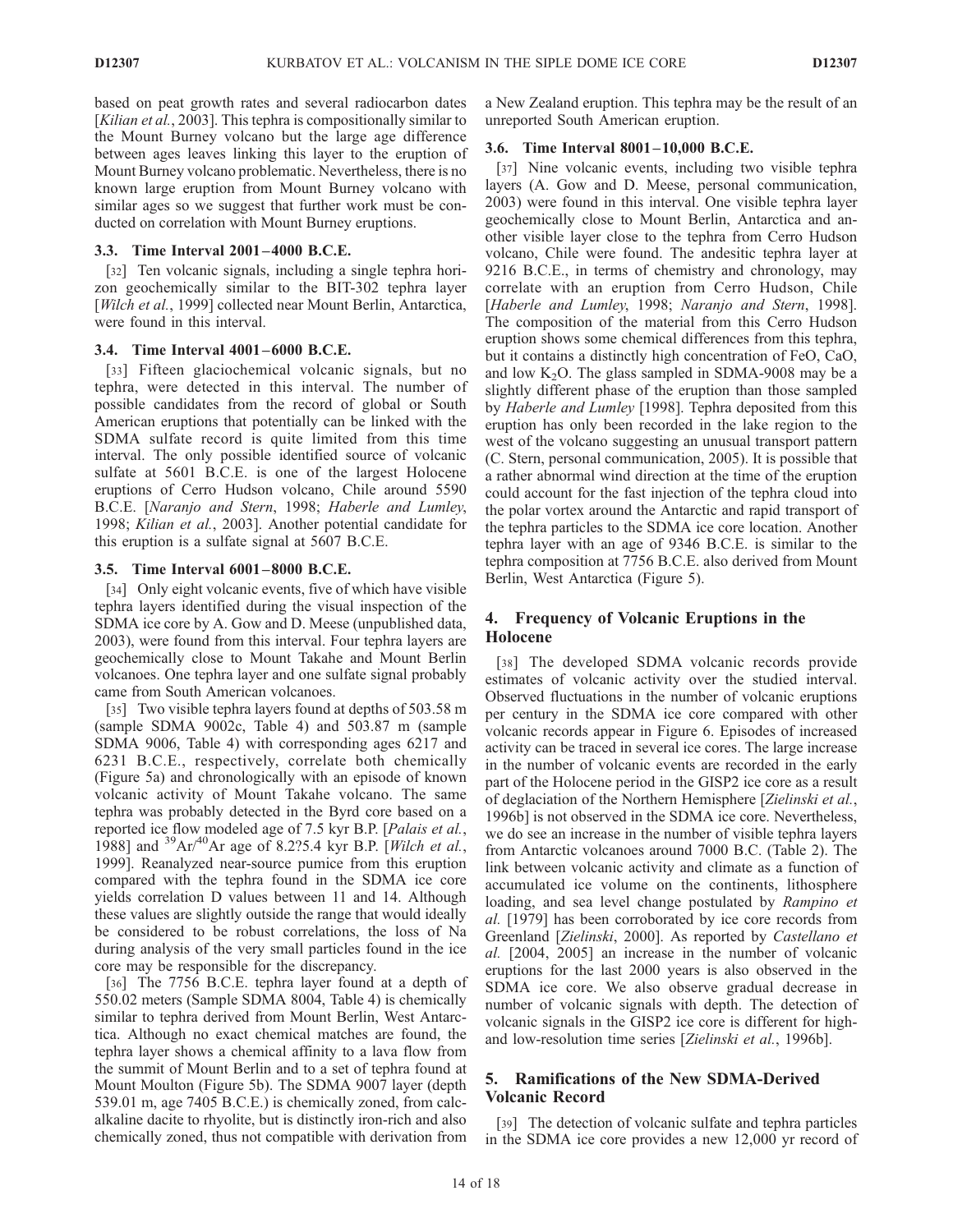based on peat growth rates and several radiocarbon dates [Kilian et al., 2003]. This tephra is compositionally similar to the Mount Burney volcano but the large age difference between ages leaves linking this layer to the eruption of Mount Burney volcano problematic. Nevertheless, there is no known large eruption from Mount Burney volcano with similar ages so we suggest that further work must be conducted on correlation with Mount Burney eruptions.

#### 3.3. Time Interval 2001 – 4000 B.C.E.

[32] Ten volcanic signals, including a single tephra horizon geochemically similar to the BIT-302 tephra layer [Wilch et al., 1999] collected near Mount Berlin, Antarctica, were found in this interval.

#### 3.4. Time Interval 4001 – 6000 B.C.E.

[33] Fifteen glaciochemical volcanic signals, but no tephra, were detected in this interval. The number of possible candidates from the record of global or South American eruptions that potentially can be linked with the SDMA sulfate record is quite limited from this time interval. The only possible identified source of volcanic sulfate at 5601 B.C.E. is one of the largest Holocene eruptions of Cerro Hudson volcano, Chile around 5590 B.C.E. [Naranjo and Stern, 1998; Haberle and Lumley, 1998; Kilian et al., 2003]. Another potential candidate for this eruption is a sulfate signal at 5607 B.C.E.

#### 3.5. Time Interval 6001 – 8000 B.C.E.

[34] Only eight volcanic events, five of which have visible tephra layers identified during the visual inspection of the SDMA ice core by A. Gow and D. Meese (unpublished data, 2003), were found from this interval. Four tephra layers are geochemically close to Mount Takahe and Mount Berlin volcanoes. One tephra layer and one sulfate signal probably came from South American volcanoes.

[35] Two visible tephra layers found at depths of 503.58 m (sample SDMA 9002c, Table 4) and 503.87 m (sample SDMA 9006, Table 4) with corresponding ages 6217 and 6231 B.C.E., respectively, correlate both chemically (Figure 5a) and chronologically with an episode of known volcanic activity of Mount Takahe volcano. The same tephra was probably detected in the Byrd core based on a reported ice flow modeled age of 7.5 kyr B.P. [Palais et al., 1988] and  ${}^{39}Ar/{}^{40}Ar$  age of 8.2?5.4 kyr B.P. [Wilch et al., 1999]. Reanalyzed near-source pumice from this eruption compared with the tephra found in the SDMA ice core yields correlation D values between 11 and 14. Although these values are slightly outside the range that would ideally be considered to be robust correlations, the loss of Na during analysis of the very small particles found in the ice core may be responsible for the discrepancy.

[36] The 7756 B.C.E. tephra layer found at a depth of 550.02 meters (Sample SDMA 8004, Table 4) is chemically similar to tephra derived from Mount Berlin, West Antarctica. Although no exact chemical matches are found, the tephra layer shows a chemical affinity to a lava flow from the summit of Mount Berlin and to a set of tephra found at Mount Moulton (Figure 5b). The SDMA 9007 layer (depth 539.01 m, age 7405 B.C.E.) is chemically zoned, from calcalkaline dacite to rhyolite, but is distinctly iron-rich and also chemically zoned, thus not compatible with derivation from

a New Zealand eruption. This tephra may be the result of an unreported South American eruption.

#### 3.6. Time Interval 8001 –10,000 B.C.E.

[37] Nine volcanic events, including two visible tephra layers (A. Gow and D. Meese, personal communication, 2003) were found in this interval. One visible tephra layer geochemically close to Mount Berlin, Antarctica and another visible layer close to the tephra from Cerro Hudson volcano, Chile were found. The andesitic tephra layer at 9216 B.C.E., in terms of chemistry and chronology, may correlate with an eruption from Cerro Hudson, Chile [Haberle and Lumley, 1998; Naranjo and Stern, 1998]. The composition of the material from this Cerro Hudson eruption shows some chemical differences from this tephra, but it contains a distinctly high concentration of FeO, CaO, and low  $K<sub>2</sub>O$ . The glass sampled in SDMA-9008 may be a slightly different phase of the eruption than those sampled by Haberle and Lumley [1998]. Tephra deposited from this eruption has only been recorded in the lake region to the west of the volcano suggesting an unusual transport pattern (C. Stern, personal communication, 2005). It is possible that a rather abnormal wind direction at the time of the eruption could account for the fast injection of the tephra cloud into the polar vortex around the Antarctic and rapid transport of the tephra particles to the SDMA ice core location. Another tephra layer with an age of 9346 B.C.E. is similar to the tephra composition at 7756 B.C.E. also derived from Mount Berlin, West Antarctica (Figure 5).

# 4. Frequency of Volcanic Eruptions in the Holocene

[38] The developed SDMA volcanic records provide estimates of volcanic activity over the studied interval. Observed fluctuations in the number of volcanic eruptions per century in the SDMA ice core compared with other volcanic records appear in Figure 6. Episodes of increased activity can be traced in several ice cores. The large increase in the number of volcanic events are recorded in the early part of the Holocene period in the GISP2 ice core as a result of deglaciation of the Northern Hemisphere [Zielinski et al., 1996b] is not observed in the SDMA ice core. Nevertheless, we do see an increase in the number of visible tephra layers from Antarctic volcanoes around 7000 B.C. (Table 2). The link between volcanic activity and climate as a function of accumulated ice volume on the continents, lithosphere loading, and sea level change postulated by Rampino et al. [1979] has been corroborated by ice core records from Greenland [Zielinski, 2000]. As reported by Castellano et al. [2004, 2005] an increase in the number of volcanic eruptions for the last 2000 years is also observed in the SDMA ice core. We also observe gradual decrease in number of volcanic signals with depth. The detection of volcanic signals in the GISP2 ice core is different for highand low-resolution time series [Zielinski et al., 1996b].

## 5. Ramifications of the New SDMA-Derived Volcanic Record

[39] The detection of volcanic sulfate and tephra particles in the SDMA ice core provides a new 12,000 yr record of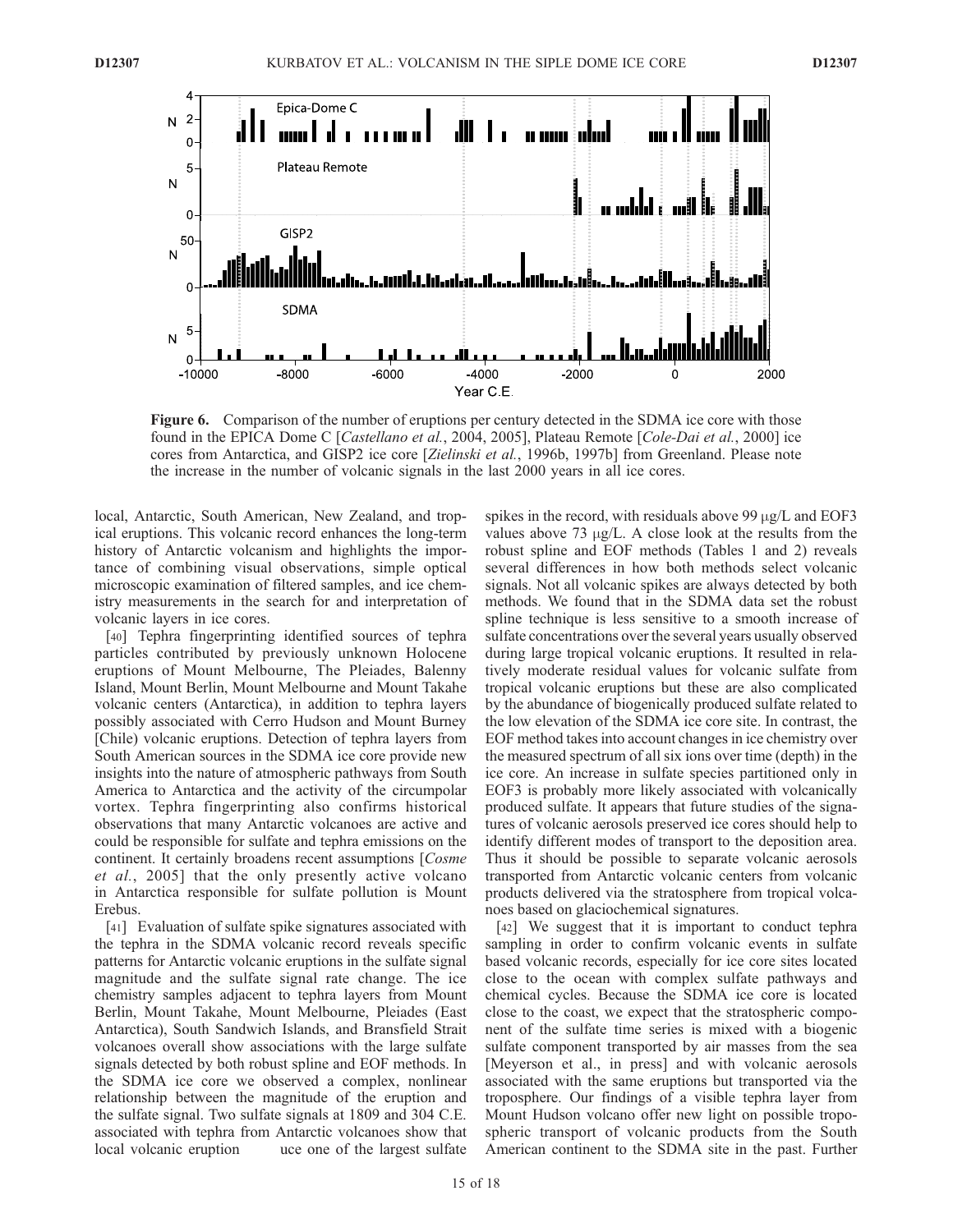

Figure 6. Comparison of the number of eruptions per century detected in the SDMA ice core with those found in the EPICA Dome C [Castellano et al., 2004, 2005], Plateau Remote [Cole-Dai et al., 2000] ice cores from Antarctica, and GISP2 ice core [Zielinski et al., 1996b, 1997b] from Greenland. Please note the increase in the number of volcanic signals in the last 2000 years in all ice cores.

local, Antarctic, South American, New Zealand, and tropical eruptions. This volcanic record enhances the long-term history of Antarctic volcanism and highlights the importance of combining visual observations, simple optical microscopic examination of filtered samples, and ice chemistry measurements in the search for and interpretation of volcanic layers in ice cores.

[40] Tephra fingerprinting identified sources of tephra particles contributed by previously unknown Holocene eruptions of Mount Melbourne, The Pleiades, Balenny Island, Mount Berlin, Mount Melbourne and Mount Takahe volcanic centers (Antarctica), in addition to tephra layers possibly associated with Cerro Hudson and Mount Burney [Chile) volcanic eruptions. Detection of tephra layers from South American sources in the SDMA ice core provide new insights into the nature of atmospheric pathways from South America to Antarctica and the activity of the circumpolar vortex. Tephra fingerprinting also confirms historical observations that many Antarctic volcanoes are active and could be responsible for sulfate and tephra emissions on the continent. It certainly broadens recent assumptions [Cosme et al., 2005] that the only presently active volcano in Antarctica responsible for sulfate pollution is Mount Erebus.

[41] Evaluation of sulfate spike signatures associated with the tephra in the SDMA volcanic record reveals specific patterns for Antarctic volcanic eruptions in the sulfate signal magnitude and the sulfate signal rate change. The ice chemistry samples adjacent to tephra layers from Mount Berlin, Mount Takahe, Mount Melbourne, Pleiades (East Antarctica), South Sandwich Islands, and Bransfield Strait volcanoes overall show associations with the large sulfate signals detected by both robust spline and EOF methods. In the SDMA ice core we observed a complex, nonlinear relationship between the magnitude of the eruption and the sulfate signal. Two sulfate signals at 1809 and 304 C.E. associated with tephra from Antarctic volcanoes show that local volcanic eruption uce one of the largest sulfate

spikes in the record, with residuals above 99  $\mu$ g/L and EOF3 values above  $73 \mu g/L$ . A close look at the results from the robust spline and EOF methods (Tables 1 and 2) reveals several differences in how both methods select volcanic signals. Not all volcanic spikes are always detected by both methods. We found that in the SDMA data set the robust spline technique is less sensitive to a smooth increase of sulfate concentrations over the several years usually observed during large tropical volcanic eruptions. It resulted in relatively moderate residual values for volcanic sulfate from tropical volcanic eruptions but these are also complicated by the abundance of biogenically produced sulfate related to the low elevation of the SDMA ice core site. In contrast, the EOF method takes into account changes in ice chemistry over the measured spectrum of all six ions over time (depth) in the ice core. An increase in sulfate species partitioned only in EOF3 is probably more likely associated with volcanically produced sulfate. It appears that future studies of the signatures of volcanic aerosols preserved ice cores should help to identify different modes of transport to the deposition area. Thus it should be possible to separate volcanic aerosols transported from Antarctic volcanic centers from volcanic products delivered via the stratosphere from tropical volcanoes based on glaciochemical signatures.

[42] We suggest that it is important to conduct tephra sampling in order to confirm volcanic events in sulfate based volcanic records, especially for ice core sites located close to the ocean with complex sulfate pathways and chemical cycles. Because the SDMA ice core is located close to the coast, we expect that the stratospheric component of the sulfate time series is mixed with a biogenic sulfate component transported by air masses from the sea [Meyerson et al., in press] and with volcanic aerosols associated with the same eruptions but transported via the troposphere. Our findings of a visible tephra layer from Mount Hudson volcano offer new light on possible tropospheric transport of volcanic products from the South American continent to the SDMA site in the past. Further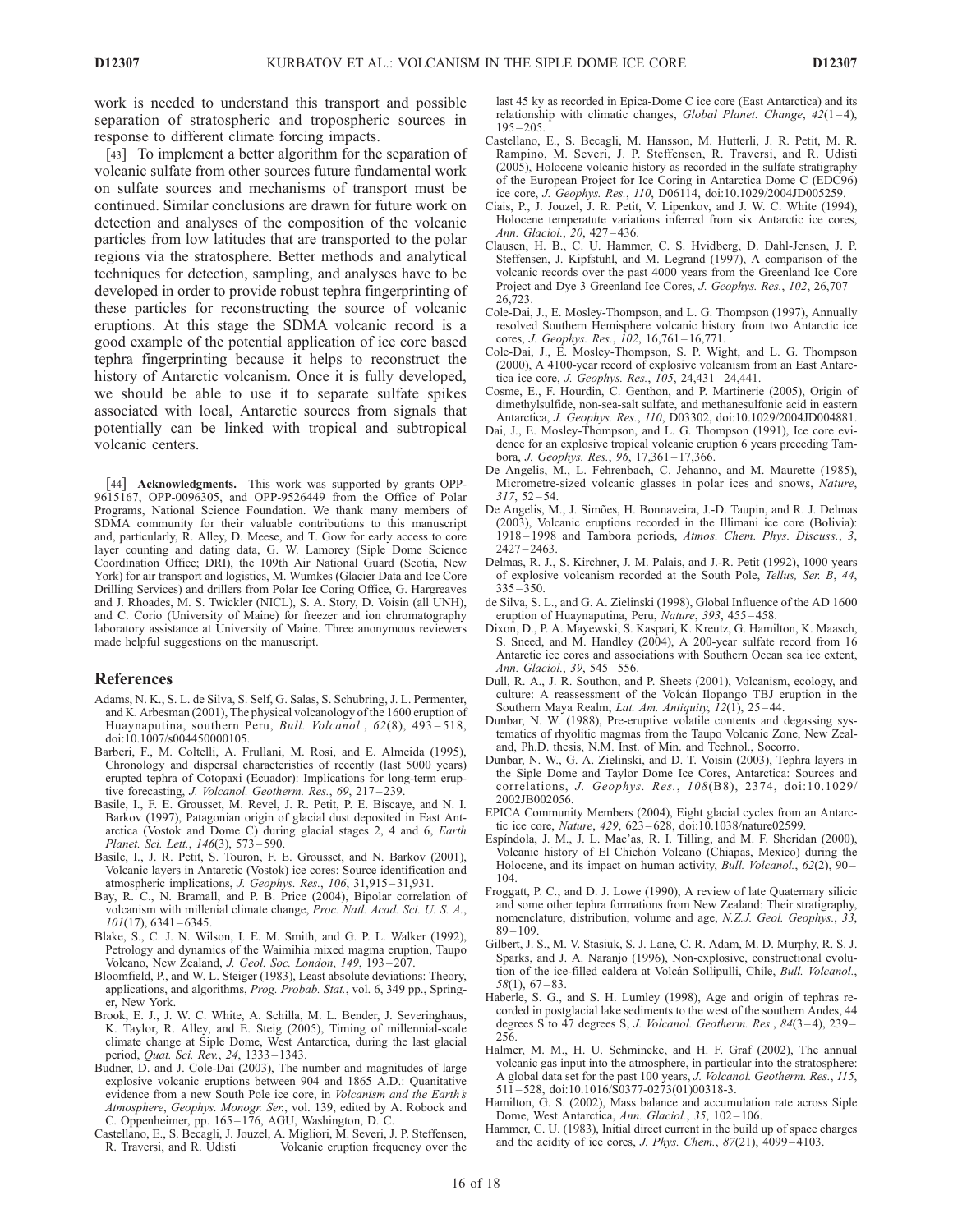work is needed to understand this transport and possible separation of stratospheric and tropospheric sources in response to different climate forcing impacts.

[43] To implement a better algorithm for the separation of volcanic sulfate from other sources future fundamental work on sulfate sources and mechanisms of transport must be continued. Similar conclusions are drawn for future work on detection and analyses of the composition of the volcanic particles from low latitudes that are transported to the polar regions via the stratosphere. Better methods and analytical techniques for detection, sampling, and analyses have to be developed in order to provide robust tephra fingerprinting of these particles for reconstructing the source of volcanic eruptions. At this stage the SDMA volcanic record is a good example of the potential application of ice core based tephra fingerprinting because it helps to reconstruct the history of Antarctic volcanism. Once it is fully developed, we should be able to use it to separate sulfate spikes associated with local, Antarctic sources from signals that potentially can be linked with tropical and subtropical volcanic centers.

[44] Acknowledgments. This work was supported by grants OPP-9615167, OPP-0096305, and OPP-9526449 from the Office of Polar Programs, National Science Foundation. We thank many members of SDMA community for their valuable contributions to this manuscript and, particularly, R. Alley, D. Meese, and T. Gow for early access to core layer counting and dating data, G. W. Lamorey (Siple Dome Science Coordination Office; DRI), the 109th Air National Guard (Scotia, New York) for air transport and logistics, M. Wumkes (Glacier Data and Ice Core Drilling Services) and drillers from Polar Ice Coring Office, G. Hargreaves and J. Rhoades, M. S. Twickler (NICL), S. A. Story, D. Voisin (all UNH), and C. Corio (University of Maine) for freezer and ion chromatography laboratory assistance at University of Maine. Three anonymous reviewers made helpful suggestions on the manuscript.

#### References

- Adams, N. K., S. L. de Silva, S. Self, G. Salas, S. Schubring, J. L. Permenter, and K. Arbesman (2001), The physical volcanology of the 1600 eruption of Huaynaputina, southern Peru, Bull. Volcanol., 62(8), 493-518, doi:10.1007/s004450000105.
- Barberi, F., M. Coltelli, A. Frullani, M. Rosi, and E. Almeida (1995), Chronology and dispersal characteristics of recently (last 5000 years) erupted tephra of Cotopaxi (Ecuador): Implications for long-term eruptive forecasting, J. Volcanol. Geotherm. Res., 69, 217-239.
- Basile, I., F. E. Grousset, M. Revel, J. R. Petit, P. E. Biscaye, and N. I. Barkov (1997), Patagonian origin of glacial dust deposited in East Antarctica (Vostok and Dome C) during glacial stages 2, 4 and 6, Earth Planet. Sci. Lett., 146(3), 573 – 590.
- Basile, I., J. R. Petit, S. Touron, F. E. Grousset, and N. Barkov (2001), Volcanic layers in Antarctic (Vostok) ice cores: Source identification and atmospheric implications, J. Geophys. Res., 106, 31,915 – 31,931.
- Bay, R. C., N. Bramall, and P. B. Price (2004), Bipolar correlation of volcanism with millenial climate change, Proc. Natl. Acad. Sci. U. S. A.,  $101(17)$ , 6341 – 6345.
- Blake, S., C. J. N. Wilson, I. E. M. Smith, and G. P. L. Walker (1992), Petrology and dynamics of the Waimihia mixed magma eruption, Taupo Volcano, New Zealand, J. Geol. Soc. London, 149, 193-207.
- Bloomfield, P., and W. L. Steiger (1983), Least absolute deviations: Theory, applications, and algorithms, Prog. Probab. Stat., vol. 6, 349 pp., Springer, New York.
- Brook, E. J., J. W. C. White, A. Schilla, M. L. Bender, J. Severinghaus, K. Taylor, R. Alley, and E. Steig (2005), Timing of millennial-scale climate change at Siple Dome, West Antarctica, during the last glacial period, *Quat. Sci. Rev.*, 24, 1333-1343.
- Budner, D. and J. Cole-Dai (2003), The number and magnitudes of large explosive volcanic eruptions between 904 and 1865 A.D.: Quanitative evidence from a new South Pole ice core, in Volcanism and the Earth's Atmosphere, Geophys. Monogr. Ser., vol. 139, edited by A. Robock and C. Oppenheimer, pp. 165 – 176, AGU, Washington, D. C.
- Castellano, E., S. Becagli, J. Jouzel, A. Migliori, M. Severi, J. P. Steffensen, R. Traversi, and R. Udisti Volcanic eruption frequency over the

last 45 ky as recorded in Epica-Dome C ice core (East Antarctica) and its relationship with climatic changes, *Global Planet. Change*,  $42(1-4)$ ,  $195 - 205$ 

- Castellano, E., S. Becagli, M. Hansson, M. Hutterli, J. R. Petit, M. R. Rampino, M. Severi, J. P. Steffensen, R. Traversi, and R. Udisti (2005), Holocene volcanic history as recorded in the sulfate stratigraphy of the European Project for Ice Coring in Antarctica Dome C (EDC96) ice core, J. Geophys. Res., 110, D06114, doi:10.1029/2004JD005259.
- Ciais, P., J. Jouzel, J. R. Petit, V. Lipenkov, and J. W. C. White (1994), Holocene temperatute variations inferred from six Antarctic ice cores, Ann. Glaciol., 20, 427 – 436.
- Clausen, H. B., C. U. Hammer, C. S. Hvidberg, D. Dahl-Jensen, J. P. Steffensen, J. Kipfstuhl, and M. Legrand (1997), A comparison of the volcanic records over the past 4000 years from the Greenland Ice Core Project and Dye 3 Greenland Ice Cores, J. Geophys. Res., 102, 26,707-26,723.
- Cole-Dai, J., E. Mosley-Thompson, and L. G. Thompson (1997), Annually resolved Southern Hemisphere volcanic history from two Antarctic ice cores, J. Geophys. Res., 102, 16,761-16,771.
- Cole-Dai, J., E. Mosley-Thompson, S. P. Wight, and L. G. Thompson (2000), A 4100-year record of explosive volcanism from an East Antarctica ice core, J. Geophys. Res., 105, 24,431 – 24,441.
- Cosme, E., F. Hourdin, C. Genthon, and P. Martinerie (2005), Origin of dimethylsulfide, non-sea-salt sulfate, and methanesulfonic acid in eastern Antarctica, J. Geophys. Res., 110, D03302, doi:10.1029/2004JD004881.
- Dai, J., E. Mosley-Thompson, and L. G. Thompson (1991), Ice core evidence for an explosive tropical volcanic eruption 6 years preceding Tambora, J. Geophys. Res., 96, 17,361-17,366.
- De Angelis, M., L. Fehrenbach, C. Jehanno, and M. Maurette (1985), Micrometre-sized volcanic glasses in polar ices and snows, Nature,  $317, 52 - 54.$
- De Angelis, M., J. Simões, H. Bonnaveira, J.-D. Taupin, and R. J. Delmas (2003), Volcanic eruptions recorded in the Illimani ice core (Bolivia): 1918 – 1998 and Tambora periods, Atmos. Chem. Phys. Discuss., 3,  $2427 - 2463.$
- Delmas, R. J., S. Kirchner, J. M. Palais, and J.-R. Petit (1992), 1000 years of explosive volcanism recorded at the South Pole, Tellus, Ser. B, 44,  $335 - 350$
- de Silva, S. L., and G. A. Zielinski (1998), Global Influence of the AD 1600 eruption of Huaynaputina, Peru, Nature, 393, 455-458.
- Dixon, D., P. A. Mayewski, S. Kaspari, K. Kreutz, G. Hamilton, K. Maasch, S. Sneed, and M. Handley (2004), A 200-year sulfate record from 16 Antarctic ice cores and associations with Southern Ocean sea ice extent, Ann. Glaciol., 39, 545 – 556.
- Dull, R. A., J. R. Southon, and P. Sheets (2001), Volcanism, ecology, and culture: A reassessment of the Volcán Ilopango TBJ eruption in the Southern Maya Realm, Lat. Am. Antiquity,  $\hat{I}2(1)$ , 25-44.
- Dunbar, N. W. (1988), Pre-eruptive volatile contents and degassing systematics of rhyolitic magmas from the Taupo Volcanic Zone, New Zealand, Ph.D. thesis, N.M. Inst. of Min. and Technol., Socorro.
- Dunbar, N. W., G. A. Zielinski, and D. T. Voisin (2003), Tephra layers in the Siple Dome and Taylor Dome Ice Cores, Antarctica: Sources and correlations, J. Geophys. Res., 108(B8), 2374, doi:10.1029/ 2002JB002056.
- EPICA Community Members (2004), Eight glacial cycles from an Antarctic ice core, Nature, 429, 623 – 628, doi:10.1038/nature02599.
- Espíndola, J. M., J. L. Mac'as, R. I. Tilling, and M. F. Sheridan (2000), Volcanic history of El Chichón Volcano (Chiapas, Mexico) during the Holocene, and its impact on human activity, *Bull. Volcanol.*, 62(2), 90-104.
- Froggatt, P. C., and D. J. Lowe (1990), A review of late Quaternary silicic and some other tephra formations from New Zealand: Their stratigraphy, nomenclature, distribution, volume and age, N.Z.J. Geol. Geophys., 33,  $89 - 109.$
- Gilbert, J. S., M. V. Stasiuk, S. J. Lane, C. R. Adam, M. D. Murphy, R. S. J. Sparks, and J. A. Naranjo (1996), Non-explosive, constructional evolution of the ice-filled caldera at Volcán Sollipulli, Chile, Bull. Volcanol.,  $58(1), 67-83.$
- Haberle, S. G., and S. H. Lumley (1998), Age and origin of tephras recorded in postglacial lake sediments to the west of the southern Andes, 44 degrees S to  $\overline{47}$  degrees S, J. Volcanol. Geotherm. Res.,  $84(3-4)$ ,  $239-$ 256.
- Halmer, M. M., H. U. Schmincke, and H. F. Graf (2002), The annual volcanic gas input into the atmosphere, in particular into the stratosphere: A global data set for the past 100 years, J. Volcanol. Geotherm. Res., 115,  $511 - 528$ , doi:10.1016/S0377-0273(01)00318-3.
- Hamilton, G. S. (2002), Mass balance and accumulation rate across Siple Dome, West Antarctica, Ann. Glaciol., 35, 102-106.
- Hammer, C. U. (1983), Initial direct current in the build up of space charges and the acidity of ice cores, J. Phys. Chem., 87(21), 4099-4103.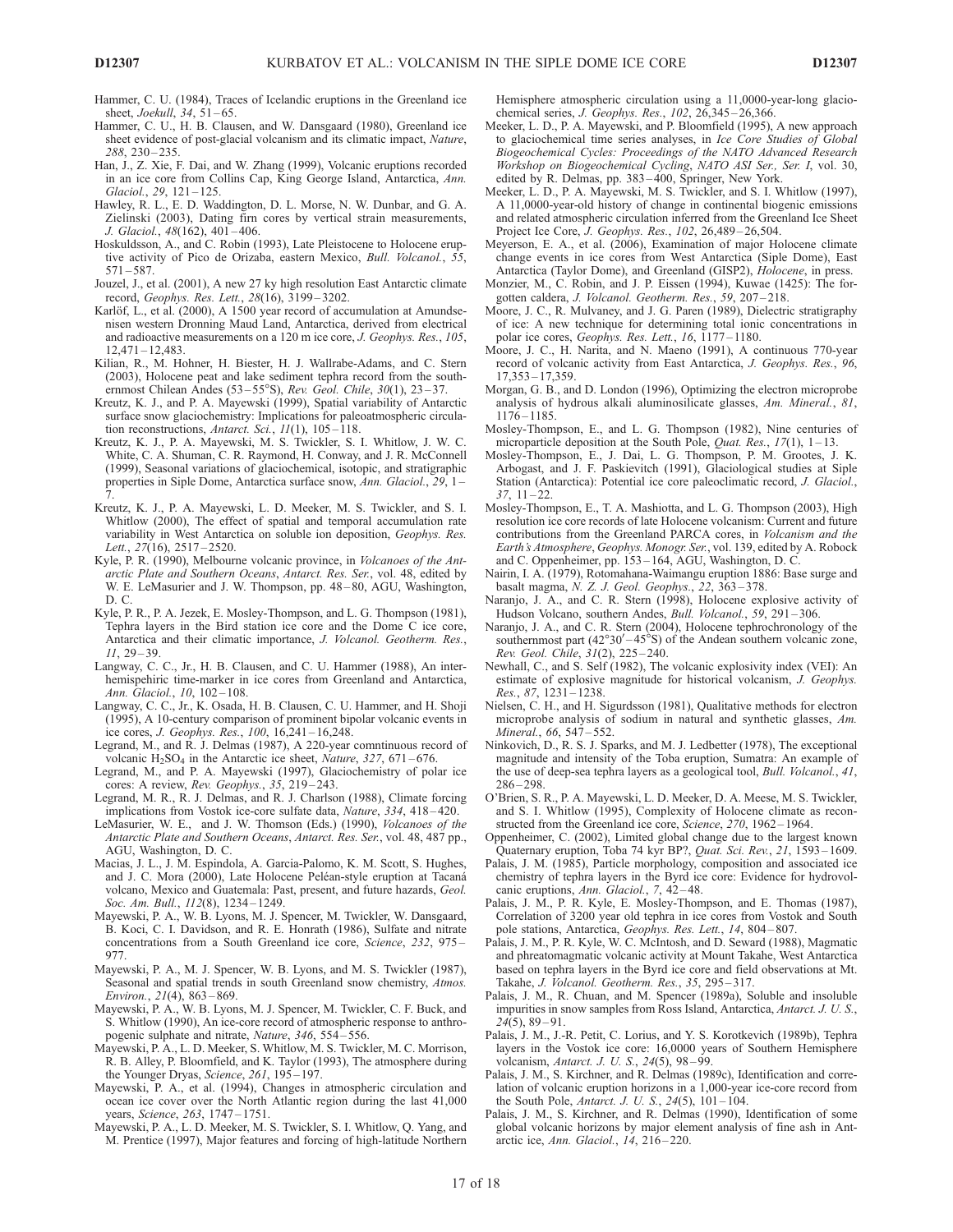Hammer, C. U. (1984), Traces of Icelandic eruptions in the Greenland ice sheet, *Joekull*, 34, 51-65.

- Hammer, C. U., H. B. Clausen, and W. Dansgaard (1980), Greenland ice sheet evidence of post-glacial volcanism and its climatic impact, Nature, 288, 230 – 235.
- Han, J., Z. Xie, F. Dai, and W. Zhang (1999), Volcanic eruptions recorded in an ice core from Collins Cap, King George Island, Antarctica, Ann. Glaciol., 29, 121-125.
- Hawley, R. L., E. D. Waddington, D. L. Morse, N. W. Dunbar, and G. A. Zielinski (2003), Dating firn cores by vertical strain measurements, J. Glaciol., 48(162), 401 – 406.
- Hoskuldsson, A., and C. Robin (1993), Late Pleistocene to Holocene eruptive activity of Pico de Orizaba, eastern Mexico, Bull. Volcanol., 55,  $571 - 587.$
- Jouzel, J., et al. (2001), A new 27 ky high resolution East Antarctic climate record, Geophys. Res. Lett., 28(16), 3199 – 3202.
- Karlöf, L., et al. (2000), A 1500 year record of accumulation at Amundsenisen western Dronning Maud Land, Antarctica, derived from electrical and radioactive measurements on a 120 m ice core, J. Geophys. Res., 105, 12,471 – 12,483.
- Kilian, R., M. Hohner, H. Biester, H. J. Wallrabe-Adams, and C. Stern (2003), Holocene peat and lake sediment tephra record from the southernmost Chilean Andes (53–55°S), Rev. Geol. Chile, 30(1), 23–37.
- Kreutz, K. J., and P. A. Mayewski (1999), Spatial variability of Antarctic surface snow glaciochemistry: Implications for paleoatmospheric circulation reconstructions, Antarct. Sci., 11(1), 105-118.
- Kreutz, K. J., P. A. Mayewski, M. S. Twickler, S. I. Whitlow, J. W. C. White, C. A. Shuman, C. R. Raymond, H. Conway, and J. R. McConnell (1999), Seasonal variations of glaciochemical, isotopic, and stratigraphic properties in Siple Dome, Antarctica surface snow, Ann. Glaciol., 29, 1– 7.
- Kreutz, K. J., P. A. Mayewski, L. D. Meeker, M. S. Twickler, and S. I. Whitlow (2000), The effect of spatial and temporal accumulation rate variability in West Antarctica on soluble ion deposition, Geophys. Res. Lett., 27(16), 2517-2520.
- Kyle, P. R. (1990), Melbourne volcanic province, in Volcanoes of the Antarctic Plate and Southern Oceans, Antarct. Res. Ser., vol. 48, edited by W. E. LeMasurier and J. W. Thompson, pp. 48 – 80, AGU, Washington, D. C.
- Kyle, P. R., P. A. Jezek, E. Mosley-Thompson, and L. G. Thompson (1981), Tephra layers in the Bird station ice core and the Dome C ice core, Antarctica and their climatic importance, J. Volcanol. Geotherm. Res.,  $11, 29 - 39.$
- Langway, C. C., Jr., H. B. Clausen, and C. U. Hammer (1988), An interhemispehiric time-marker in ice cores from Greenland and Antarctica, Ann. Glaciol., 10, 102 – 108.
- Langway, C. C., Jr., K. Osada, H. B. Clausen, C. U. Hammer, and H. Shoji (1995), A 10-century comparison of prominent bipolar volcanic events in ice cores, J. Geophys. Res., 100, 16,241 – 16,248.
- Legrand, M., and R. J. Delmas (1987), A 220-year comntinuous record of volcanic  $H_2SO_4$  in the Antarctic ice sheet, Nature, 327, 671-676.
- Legrand, M., and P. A. Mayewski (1997), Glaciochemistry of polar ice cores: A review, Rev. Geophys., 35, 219–243.
- Legrand, M. R., R. J. Delmas, and R. J. Charlson (1988), Climate forcing implications from Vostok ice-core sulfate data, Nature, 334, 418 – 420.
- LeMasurier, W. E., and J. W. Thomson (Eds.) (1990), Volcanoes of the Antarctic Plate and Southern Oceans, Antarct. Res. Ser., vol. 48, 487 pp., AGU, Washington, D. C.
- Macias, J. L., J. M. Espindola, A. Garcia-Palomo, K. M. Scott, S. Hughes, and J. C. Mora (2000), Late Holocene Peléan-style eruption at Tacaná volcano, Mexico and Guatemala: Past, present, and future hazards, Geol. Soc. Am. Bull., 112(8), 1234-1249.
- Mayewski, P. A., W. B. Lyons, M. J. Spencer, M. Twickler, W. Dansgaard, B. Koci, C. I. Davidson, and R. E. Honrath (1986), Sulfate and nitrate concentrations from a South Greenland ice core, Science, 232, 975 – 977.
- Mayewski, P. A., M. J. Spencer, W. B. Lyons, and M. S. Twickler (1987), Seasonal and spatial trends in south Greenland snow chemistry, Atmos. Environ., 21(4), 863 – 869.
- Mayewski, P. A., W. B. Lyons, M. J. Spencer, M. Twickler, C. F. Buck, and S. Whitlow (1990), An ice-core record of atmospheric response to anthropogenic sulphate and nitrate, Nature, 346, 554 – 556.
- Mayewski, P. A., L. D. Meeker, S. Whitlow, M. S. Twickler, M. C. Morrison, R. B. Alley, P. Bloomfield, and K. Taylor (1993), The atmosphere during the Younger Dryas, Science, 261, 195-197.
- Mayewski, P. A., et al. (1994), Changes in atmospheric circulation and ocean ice cover over the North Atlantic region during the last 41,000 years, Science, 263, 1747 – 1751.
- Mayewski, P. A., L. D. Meeker, M. S. Twickler, S. I. Whitlow, Q. Yang, and M. Prentice (1997), Major features and forcing of high-latitude Northern

Hemisphere atmospheric circulation using a 11,0000-year-long glaciochemical series, J. Geophys. Res., 102, 26,345 – 26,366.

- Meeker, L. D., P. A. Mayewski, and P. Bloomfield (1995), A new approach to glaciochemical time series analyses, in Ice Core Studies of Global Biogeochemical Cycles: Proceedings of the NATO Advanced Research Workshop on Biogeochemical Cycling, NATO ASI Ser., Ser. I, vol. 30, edited by R. Delmas, pp. 383 – 400, Springer, New York.
- Meeker, L. D., P. A. Mayewski, M. S. Twickler, and S. I. Whitlow (1997), A 11,0000-year-old history of change in continental biogenic emissions and related atmospheric circulation inferred from the Greenland Ice Sheet Project Ice Core, J. Geophys. Res., 102, 26,489-26,504.
- Meyerson, E. A., et al. (2006), Examination of major Holocene climate change events in ice cores from West Antarctica (Siple Dome), East Antarctica (Taylor Dome), and Greenland (GISP2), Holocene, in press.
- Monzier, M., C. Robin, and J. P. Eissen (1994), Kuwae (1425): The forgotten caldera, J. Volcanol. Geotherm. Res., 59, 207 – 218.
- Moore, J. C., R. Mulvaney, and J. G. Paren (1989), Dielectric stratigraphy of ice: A new technique for determining total ionic concentrations in polar ice cores, Geophys. Res. Lett., 16, 1177 – 1180.
- Moore, J. C., H. Narita, and N. Maeno (1991), A continuous 770-year record of volcanic activity from East Antarctica, J. Geophys. Res., 96, 17,353 – 17,359.
- Morgan, G. B., and D. London (1996), Optimizing the electron microprobe analysis of hydrous alkali aluminosilicate glasses, Am. Mineral., 81, 1176 – 1185.
- Mosley-Thompson, E., and L. G. Thompson (1982), Nine centuries of microparticle deposition at the South Pole, Quat. Res.,  $17(1)$ ,  $1-13$ .
- Mosley-Thompson, E., J. Dai, L. G. Thompson, P. M. Grootes, J. K. Arbogast, and J. F. Paskievitch (1991), Glaciological studies at Siple Station (Antarctica): Potential ice core paleoclimatic record, J. Glaciol.,  $37, 11 - 22.$
- Mosley-Thompson, E., T. A. Mashiotta, and L. G. Thompson (2003), High resolution ice core records of late Holocene volcanism: Current and future contributions from the Greenland PARCA cores, in Volcanism and the Earth's Atmosphere, Geophys. Monogr. Ser., vol. 139, edited by A. Robock and C. Oppenheimer, pp. 153 – 164, AGU, Washington, D. C.
- Nairin, I. A. (1979), Rotomahana-Waimangu eruption 1886: Base surge and basalt magma, N. Z. J. Geol. Geophys., 22, 363-378.
- Naranjo, J. A., and C. R. Stern (1998), Holocene explosive activity of Hudson Volcano, southern Andes, Bull. Volcanol., 59, 291-306.
- Naranjo, J. A., and C. R. Stern (2004), Holocene tephrochronology of the southernmost part  $(42^{\circ}30' - 45^{\circ}S)$  of the Andean southern volcanic zone, Rev. Geol. Chile,  $31(2)$ ,  $225-240$ .
- Newhall, C., and S. Self (1982), The volcanic explosivity index (VEI): An estimate of explosive magnitude for historical volcanism, J. Geophys. Res., 87, 1231 – 1238.
- Nielsen, C. H., and H. Sigurdsson (1981), Qualitative methods for electron microprobe analysis of sodium in natural and synthetic glasses, Am. Mineral., 66, 547 – 552.
- Ninkovich, D., R. S. J. Sparks, and M. J. Ledbetter (1978), The exceptional magnitude and intensity of the Toba eruption, Sumatra: An example of the use of deep-sea tephra layers as a geological tool, Bull. Volcanol., 41, 286 – 298.
- O'Brien, S. R., P. A. Mayewski, L. D. Meeker, D. A. Meese, M. S. Twickler, and S. I. Whitlow (1995), Complexity of Holocene climate as reconstructed from the Greenland ice core, Science, 270, 1962-1964.
- Oppenheimer, C. (2002), Limited global change due to the largest known Quaternary eruption, Toba 74 kyr BP?, Quat. Sci. Rev., 21, 1593-1609.
- Palais, J. M. (1985), Particle morphology, composition and associated ice chemistry of tephra layers in the Byrd ice core: Evidence for hydrovolcanic eruptions, Ann. Glaciol., 7, 42-48.
- Palais, J. M., P. R. Kyle, E. Mosley-Thompson, and E. Thomas (1987), Correlation of 3200 year old tephra in ice cores from Vostok and South pole stations, Antarctica, Geophys. Res. Lett., 14, 804-807.
- Palais, J. M., P. R. Kyle, W. C. McIntosh, and D. Seward (1988), Magmatic and phreatomagmatic volcanic activity at Mount Takahe, West Antarctica based on tephra layers in the Byrd ice core and field observations at Mt. Takahe, J. Volcanol. Geotherm. Res., 35, 295 – 317.
- Palais, J. M., R. Chuan, and M. Spencer (1989a), Soluble and insoluble impurities in snow samples from Ross Island, Antarctica, Antarct. J. U. S.,  $24(5)$ , 89-91.
- Palais, J. M., J.-R. Petit, C. Lorius, and Y. S. Korotkevich (1989b), Tephra layers in the Vostok ice core: 16,0000 years of Southern Hemisphere volcanism, Antarct. J. U. S., 24(5), 98-99.
- Palais, J. M., S. Kirchner, and R. Delmas (1989c), Identification and correlation of volcanic eruption horizons in a 1,000-year ice-core record from the South Pole, *Antarct. J. U. S.*,  $24(5)$ ,  $101 - 104$ .
- Palais, J. M., S. Kirchner, and R. Delmas (1990), Identification of some global volcanic horizons by major element analysis of fine ash in Antarctic ice, Ann. Glaciol., 14, 216-220.